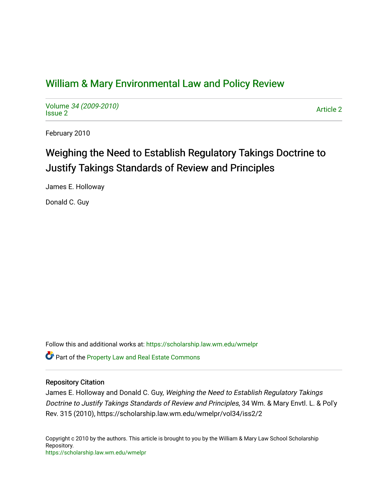## [William & Mary Environmental Law and Policy Review](https://scholarship.law.wm.edu/wmelpr)

Volume [34 \(2009-2010\)](https://scholarship.law.wm.edu/wmelpr/vol34)  volume 54 (2009-2010)<br>[Issue 2](https://scholarship.law.wm.edu/wmelpr/vol34/iss2) Article 2

February 2010

# Weighing the Need to Establish Regulatory Takings Doctrine to Justify Takings Standards of Review and Principles

James E. Holloway

Donald C. Guy

Follow this and additional works at: [https://scholarship.law.wm.edu/wmelpr](https://scholarship.law.wm.edu/wmelpr?utm_source=scholarship.law.wm.edu%2Fwmelpr%2Fvol34%2Fiss2%2F2&utm_medium=PDF&utm_campaign=PDFCoverPages)

Part of the [Property Law and Real Estate Commons](http://network.bepress.com/hgg/discipline/897?utm_source=scholarship.law.wm.edu%2Fwmelpr%2Fvol34%2Fiss2%2F2&utm_medium=PDF&utm_campaign=PDFCoverPages) 

#### Repository Citation

James E. Holloway and Donald C. Guy, Weighing the Need to Establish Regulatory Takings Doctrine to Justify Takings Standards of Review and Principles, 34 Wm. & Mary Envtl. L. & Pol'y Rev. 315 (2010), https://scholarship.law.wm.edu/wmelpr/vol34/iss2/2

Copyright c 2010 by the authors. This article is brought to you by the William & Mary Law School Scholarship Repository. <https://scholarship.law.wm.edu/wmelpr>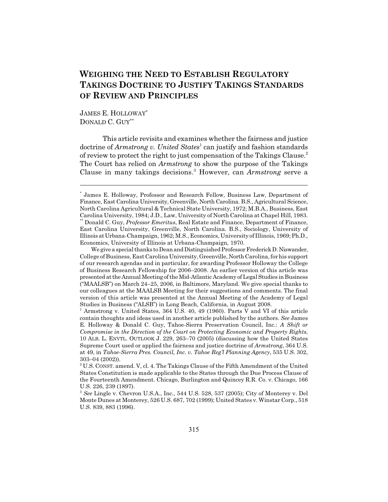## **WEIGHING THE NEED TO ESTABLISH REGULATORY TAKINGS DOCTRINE TO JUSTIFY TAKINGS STANDARDS OF REVIEW AND PRINCIPLES OF REVIEW AND PRINCIPLES**

JAMES E. HOLLOWAY\* DONALD C. GUY\*\*

This article revisits and examines whether the fairness and justice doctrine of *Armstrong v. United States*<sup>1</sup> can justify and fashion standards of review to protect the right to just compensation of the Takings Clause.<sup>2</sup> The Court has relied on *Armstrong* to show the purpose of the Takings Clause in many takings decisions.<sup>3</sup> However, can *Armstrong* serve a

We give a special thanks to Dean and Distinguished Professor Frederick D. Niswander, College of Business, East Carolina University, Greenville, North Carolina, for his support of our research agendas and in particular, for awarding Professor Holloway the College of Business Research Fellowship for 2006–2008. An earlier version of this article was presented at the Annual Meeting of the Mid-Atlantic Academy of Legal Studies in Business ("MAALSB") on March 24–25, 2006, in Baltimore, Maryland. We give special thanks to our colleagues at the MAALSB Meeting for their suggestions and comments. The final version of this article was presented at the Annual Meeting of the Academy of Legal Studies in Business ("ALSB") in Long Beach, California, in August 2008.

1 Armstrong v. United States, 364 U.S. 40, 49 (1960). Parts V and VI of this article contain thoughts and ideas used in another article published by the authors. *See* James E. Holloway & Donald C. Guy, Tahoe-Sierra Preservation Council, Inc.: *A Shift or Compromise in the Direction of the Court on Protecting Economic and Property Rights*, 10 ALB. L. ENVTL. OUTLOOK J. 229, 263–70 (2005) (discussing how the United States Supreme Court used or applied the fairness and justice doctrine of *Armstrong*, 364 U.S. at 49, in *Tahoe-Sierra Pres. Council, Inc. v. Tahoe Reg'l Planning Agency*, 535 U.S. 302, 303–04 (2002)).

<sup>2</sup> U.S. CONST. amend. V, cl. 4. The Takings Clause of the Fifth Amendment of the United States Constitution is made applicable to the States through the Due Process Clause of the Fourteenth Amendment. Chicago, Burlington and Quincey R.R. Co. v. Chicago, 166 U.S. 226, 239 (1897).

<sup>\*</sup> James E. Holloway, Professor and Research Fellow, Business Law, Department of Finance, East Carolina University, Greenville, North Carolina. B.S., Agricultural Science, North Carolina Agricultural & Technical State University, 1972; M.B.A., Business, East Carolina University, 1984; J.D., Law, University of North Carolina at Chapel Hill, 1983. \*\* Donald C. Guy, *Professor Emeritus*, Real Estate and Finance, Department of Finance, East Carolina University, Greenville, North Carolina. B.S., Sociology, University of Illinois at Urbana-Champaign, 1962; M.S., Economics, University of Illinois, 1969; Ph.D., Economics, University of Illinois at Urbana-Champaign, 1970.

<sup>3</sup> *See* Lingle v. Chevron U.S.A., Inc., 544 U.S. 528, 537 (2005); City of Monterey v. Del Monte Dunes at Monterey, 526 U.S. 687, 702 (1999); United States v. Winstar Corp., 518 U.S. 839, 883 (1996).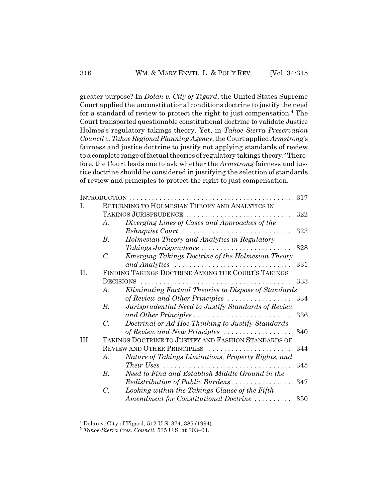greater purpose? In *Dolan v. City of Tigard*, the United States Supreme Court applied the unconstitutional conditions doctrine to justify the need for a standard of review to protect the right to just compensation.<sup>4</sup> The Court transported questionable constitutional doctrine to validate Justice Holmes's regulatory takings theory. Yet, in *Tahoe-Sierra Preservation Council v. Tahoe Regional Planning Agency*, the Court applied *Armstrong*'s fairness and justice doctrine to justify not applying standards of review to a complete range of factual theories of regulatory takings theory.<sup>5</sup> Therefore, the Court leads one to ask whether the *Armstrong* fairness and justice doctrine should be considered in justifying the selection of standards of review and principles to protect the right to just compensation.

| <b>INTRODUCTION</b> |                                                      |                                                                                       |     |
|---------------------|------------------------------------------------------|---------------------------------------------------------------------------------------|-----|
| 1.                  | RETURNING TO HOLMESIAN THEORY AND ANALYTICS IN       |                                                                                       |     |
|                     |                                                      | TAKINGS JURISPRUDENCE<br><u>.</u>                                                     | 322 |
|                     | A.                                                   | Diverging Lines of Cases and Approaches of the                                        |     |
|                     |                                                      |                                                                                       | 323 |
|                     | В.                                                   | Holmesian Theory and Analytics in Regulatory                                          |     |
|                     |                                                      | $Taking s\, Juris prudence \ldots \ldots \ldots \ldots \ldots$                        | 328 |
|                     | $C_{\cdot}$                                          | Emerging Takings Doctrine of the Holmesian Theory                                     |     |
|                     |                                                      | and Analytics $\ldots \ldots \ldots \ldots \ldots \ldots \ldots \ldots \ldots \ldots$ | 331 |
| II.                 |                                                      | FINDING TAKINGS DOCTRINE AMONG THE COURT'S TAKINGS                                    |     |
|                     | DECISIONS                                            | and and and and a                                                                     | 333 |
|                     | A.                                                   | Eliminating Factual Theories to Dispose of Standards                                  |     |
|                     |                                                      | of Review and Other Principles $\ldots \ldots \ldots \ldots \ldots$                   | 334 |
|                     | $B_{\cdot}$                                          | Jurisprudential Need to Justify Standards of Review                                   |     |
|                     |                                                      | and Other Principles                                                                  | 336 |
|                     | $C_{\cdot}$                                          | Doctrinal or Ad Hoc Thinking to Justify Standards                                     |     |
|                     |                                                      | of Review and New Principles                                                          | 340 |
| TH.                 | TAKINGS DOCTRINE TO JUSTIFY AND FASHION STANDARDS OF |                                                                                       |     |
|                     | REVIEW AND OTHER PRINCIPLES                          |                                                                                       |     |
|                     | A.                                                   | Nature of Takings Limitations, Property Rights, and                                   |     |
|                     |                                                      | Their Uses $\ldots \ldots \ldots \ldots \ldots \ldots \ldots \ldots \ldots$           | 345 |
|                     | В.                                                   | Need to Find and Establish Middle Ground in the                                       |     |
|                     |                                                      | Redistribution of Public Burdens                                                      | 347 |
|                     | $C_{\cdot}$                                          | Looking within the Takings Clause of the Fifth                                        |     |
|                     |                                                      | Amendment for Constitutional Doctrine                                                 | 350 |
|                     |                                                      |                                                                                       |     |

<sup>4</sup> Dolan v. City of Tigard, 512 U.S. 374, 385 (1994).

<sup>5</sup> *Tahoe-Sierra Pres. Council*, 535 U.S. at 303–04.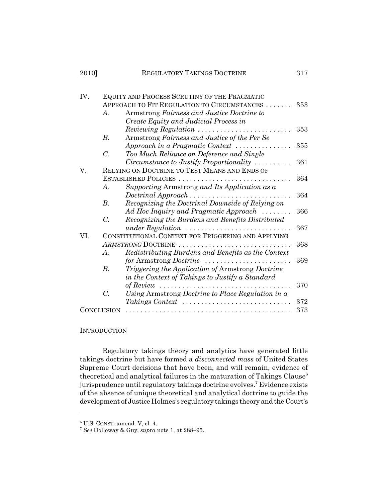| IV.        | EQUITY AND PROCESS SCRUTINY OF THE PRAGMATIC |                                                                                    |     |  |  |
|------------|----------------------------------------------|------------------------------------------------------------------------------------|-----|--|--|
|            | APPROACH TO FIT REGULATION TO CIRCUMSTANCES  |                                                                                    |     |  |  |
|            | $\bm{A}$ .                                   | Armstrong Fairness and Justice Doctrine to                                         | 353 |  |  |
|            |                                              | Create Equity and Judicial Process in                                              |     |  |  |
|            |                                              | $Reviewing Regulation \dots \dots \dots \dots \dots \dots$                         | 353 |  |  |
|            | $B$ .                                        | Armstrong Fairness and Justice of the Per Se                                       |     |  |  |
|            |                                              | Approach in a Pragmatic Context                                                    | 355 |  |  |
|            | $C$ .                                        | Too Much Reliance on Deference and Single                                          |     |  |  |
|            |                                              | Circumstance to Justify Proportionality $\ldots \ldots \ldots$                     | 361 |  |  |
| V.         |                                              | RELYING ON DOCTRINE TO TEST MEANS AND ENDS OF                                      |     |  |  |
|            | ESTABLISHED POLICIES                         |                                                                                    |     |  |  |
|            | A.                                           | Supporting Armstrong and Its Application as a                                      | 364 |  |  |
|            |                                              | $\textit{Dotrinal Approach} \dots \dots \dots \dots \dots \dots \dots \dots \dots$ | 364 |  |  |
|            | B.                                           | Recognizing the Doctrinal Downside of Relying on                                   |     |  |  |
|            |                                              | Ad Hoc Inquiry and Pragmatic Approach                                              | 366 |  |  |
|            | $\overline{C}$ .                             | Recognizing the Burdens and Benefits Distributed                                   |     |  |  |
|            |                                              | under Regulation $\ldots, \ldots, \ldots, \ldots, \ldots, \ldots, \ldots$          | 367 |  |  |
| VI.        |                                              | CONSTITUTIONAL CONTEXT FOR TRIGGERING AND APPLYING                                 |     |  |  |
|            | 368<br>ARMSTRONG DOCTRINE                    |                                                                                    |     |  |  |
|            | A.                                           | Redistributing Burdens and Benefits as the Context                                 |     |  |  |
|            |                                              | for Armstrong Doctrine $\ldots \ldots \ldots \ldots \ldots \ldots$                 | 369 |  |  |
|            | <i>B.</i>                                    | Triggering the Application of Armstrong Doctrine                                   |     |  |  |
|            |                                              | in the Context of Takings to Justify a Standard                                    |     |  |  |
|            |                                              | of $Review \dots$                                                                  | 370 |  |  |
|            | $C$ .                                        | Using Armstrong Doctrine to Place Regulation in a                                  |     |  |  |
|            |                                              | Takings Context $\ldots \ldots \ldots \ldots \ldots \ldots \ldots \ldots$          | 372 |  |  |
| CONCLUSION |                                              |                                                                                    | 373 |  |  |
|            |                                              |                                                                                    |     |  |  |

2010] REGULATORY TAKINGS DOCTRINE 317

#### **INTRODUCTION**

Regulatory takings theory and analytics have generated little takings doctrine but have formed a *disconnected mass* of United States Supreme Court decisions that have been, and will remain, evidence of theoretical and analytical failures in the maturation of Takings Clause<sup>6</sup> jurisprudence until regulatory takings doctrine evolves.<sup>7</sup> Evidence exists of the absence of unique theoretical and analytical doctrine to guide the development of Justice Holmes's regulatory takings theory and the Court's

<sup>6</sup> U.S. CONST. amend. V, cl. 4.

<sup>7</sup> *See* Holloway & Guy, *supra* note 1, at 288–95.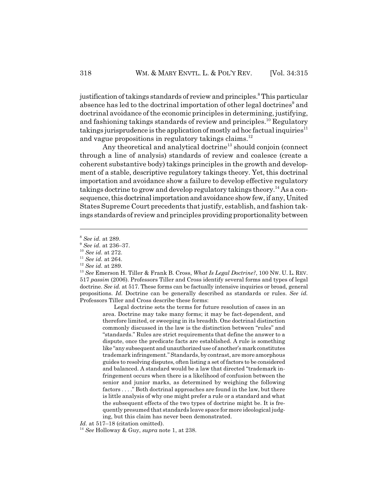justification of takings standards of review and principles.<sup>8</sup> This particular absence has led to the doctrinal importation of other legal doctrines<sup>9</sup> and doctrinal avoidance of the economic principles in determining, justifying, and fashioning takings standards of review and principles.<sup>10</sup> Regulatory takings jurisprudence is the application of mostly ad hoc factual inquiries<sup>11</sup> and vague propositions in regulatory takings claims.<sup>12</sup>

Any theoretical and analytical doctrine<sup>13</sup> should conjoin (connect through a line of analysis) standards of review and coalesce (create a coherent substantive body) takings principles in the growth and development of a stable, descriptive regulatory takings theory. Yet, this doctrinal importation and avoidance show a failure to develop effective regulatory takings doctrine to grow and develop regulatory takings theory.<sup>14</sup> As a consequence, this doctrinal importation and avoidance show few, if any, United States Supreme Court precedents that justify, establish, and fashion takings standards of review and principles providing proportionality between

Legal doctrine sets the terms for future resolution of cases in an area. Doctrine may take many forms; it may be fact-dependent, and therefore limited, or sweeping in its breadth. One doctrinal distinction commonly discussed in the law is the distinction between "rules" and "standards." Rules are strict requirements that define the answer to a dispute, once the predicate facts are established. A rule is something like "any subsequent and unauthorized use of another's mark constitutes trademark infringement." Standards, by contrast, are more amorphous guides to resolving disputes, often listing a set of factors to be considered and balanced. A standard would be a law that directed "trademark infringement occurs when there is a likelihood of confusion between the senior and junior marks, as determined by weighing the following factors . . . ." Both doctrinal approaches are found in the law, but there is little analysis of why one might prefer a rule or a standard and what the subsequent effects of the two types of doctrine might be. It is frequently presumed that standards leave space for more ideological judging, but this claim has never been demonstrated.

<sup>8</sup> *See id.* at 289.

<sup>9</sup> *See id.* at 236–37.

<sup>10</sup> *See id.* at 272.

<sup>11</sup> *See id.* at 264.

<sup>12</sup> *See id.* at 289.

<sup>13</sup> *See* Emerson H. Tiller & Frank B. Cross, *What Is Legal Doctrine?*, 100 NW. U. L. REV. 517 *passim* (2006). Professors Tiller and Cross identify several forms and types of legal doctrine. *See id.* at 517. These forms can be factually intensive inquiries or broad, general propositions. *Id.* Doctrine can be generally described as standards or rules. *See id.* Professors Tiller and Cross describe these forms:

*Id.* at 517–18 (citation omitted).

<sup>14</sup> *See* Holloway & Guy, *supra* note 1, at 238.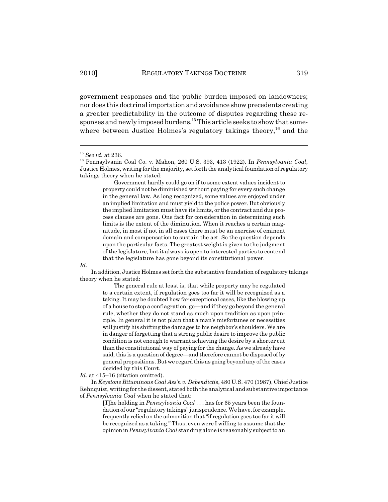government responses and the public burden imposed on landowners; nor does this doctrinal importation and avoidance show precedents creating a greater predictability in the outcome of disputes regarding these responses and newly imposed burdens.<sup>15</sup> This article seeks to show that somewhere between Justice Holmes's regulatory takings theory,<sup>16</sup> and the

Government hardly could go on if to some extent values incident to property could not be diminished without paying for every such change in the general law. As long recognized, some values are enjoyed under an implied limitation and must yield to the police power. But obviously the implied limitation must have its limits, or the contract and due process clauses are gone. One fact for consideration in determining such limits is the extent of the diminution. When it reaches a certain magnitude, in most if not in all cases there must be an exercise of eminent domain and compensation to sustain the act. So the question depends upon the particular facts. The greatest weight is given to the judgment of the legislature, but it always is open to interested parties to contend that the legislature has gone beyond its constitutional power.

*Id.*

In addition, Justice Holmes set forth the substantive foundation of regulatory takings theory when he stated:

The general rule at least is, that while property may be regulated to a certain extent, if regulation goes too far it will be recognized as a taking. It may be doubted how far exceptional cases, like the blowing up of a house to stop a conflagration, go—and if they go beyond the general rule, whether they do not stand as much upon tradition as upon principle. In general it is not plain that a man's misfortunes or necessities will justify his shifting the damages to his neighbor's shoulders. We are in danger of forgetting that a strong public desire to improve the public condition is not enough to warrant achieving the desire by a shorter cut than the constitutional way of paying for the change. As we already have said, this is a question of degree—and therefore cannot be disposed of by general propositions. But we regard this as going beyond any of the cases decided by this Court.

*Id.* at 415–16 (citation omitted).

In *Keystone Bituminous Coal Ass'n v. Debendictis*, 480 U.S. 470 (1987), Chief Justice Rehnquist, writing for the dissent, stated both the analytical and substantive importance of *Pennsylvania Coal* when he stated that:

> [T]he holding in *Pennsylvania Coal* . . . has for 65 years been the foundation of our "regulatory takings" jurisprudence. We have, for example, frequently relied on the admonition that "if regulation goes too far it will be recognized as a taking." Thus, even were I willing to assume that the opinion in *Pennsylvania Coal* standing alone is reasonably subject to an

<sup>15</sup> *See id.* at 236.

<sup>16</sup> Pennsylvania Coal Co. v. Mahon, 260 U.S. 393, 413 (1922). In *Pennsylvania Coal*, Justice Holmes, writing for the majority, set forth the analytical foundation of regulatory takings theory when he stated: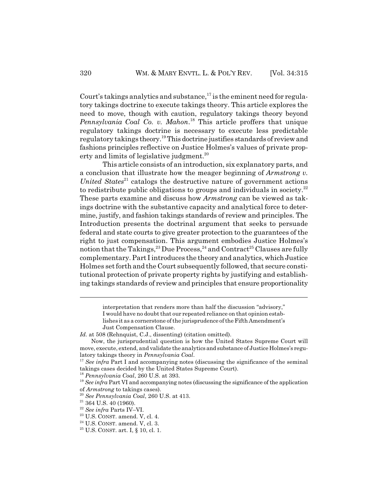Court's takings analytics and substance,<sup> $17$ </sup> is the eminent need for regulatory takings doctrine to execute takings theory. This article explores the need to move, though with caution, regulatory takings theory beyond *Pennsylvania Coal Co. v. Mahon*. 18 This article proffers that unique regulatory takings doctrine is necessary to execute less predictable regulatory takings theory.19 This doctrine justifies standards of review and fashions principles reflective on Justice Holmes's values of private property and limits of legislative judgment.<sup>20</sup>

This article consists of an introduction, six explanatory parts, and a conclusion that illustrate how the meager beginning of *Armstrong v. United States*<sup>21</sup> catalogs the destructive nature of government actions to redistribute public obligations to groups and individuals in society.<sup>22</sup> These parts examine and discuss how *Armstrong* can be viewed as takings doctrine with the substantive capacity and analytical force to determine, justify, and fashion takings standards of review and principles. The Introduction presents the doctrinal argument that seeks to persuade federal and state courts to give greater protection to the guarantees of the right to just compensation. This argument embodies Justice Holmes's notion that the Takings,  $23$  Due Process,  $24$  and Contract<sup>25</sup> Clauses are fully complementary. Part I introduces the theory and analytics, which Justice Holmes set forth and the Court subsequently followed, that secure constitutional protection of private property rights by justifying and establishing takings standards of review and principles that ensure proportionality

interpretation that renders more than half the discussion "advisory,"

lishes it as a cornerstone of the jurisprudence of the Fifth Amendment's Just Compensation Clause.

<sup>18</sup> *Pennsylvania Coal*, 260 U.S. at 393.

I would have no doubt that our repeated reliance on that opinion estab-

*Id.* at 508 (Rehnquist, C.J., dissenting) (citation omitted).

Now, the jurisprudential question is how the United States Supreme Court will move, execute, extend, and validate the analytics and substance of Justice Holmes's regulatory takings theory in *Pennsylvania Coal*.

<sup>&</sup>lt;sup>17</sup> *See infra* Part I and accompanying notes (discussing the significance of the seminal takings cases decided by the United States Supreme Court).

<sup>&</sup>lt;sup>19</sup> See infra Part VI and accompanying notes (discussing the significance of the application of *Armstrong* to takings cases).

<sup>20</sup> *See Pennsylvania Coal*, 260 U.S. at 413.

<sup>&</sup>lt;sup>21</sup> 364 U.S. 40 (1960).

<sup>22</sup> *See infra* Parts IV–VI.

 $23$  U.S. CONST. amend. V, cl. 4.

 $24$  U.S. CONST. amend. V, cl. 3.

 $25$  U.S. CONST. art. I, § 10, cl. 1.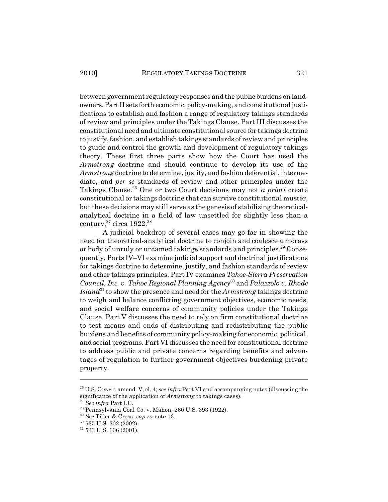between government regulatory responses and the public burdens on landowners. Part II sets forth economic, policy-making, and constitutional justifications to establish and fashion a range of regulatory takings standards of review and principles under the Takings Clause. Part III discusses the constitutional need and ultimate constitutional source for takings doctrine to justify, fashion, and establish takings standards of review and principles to guide and control the growth and development of regulatory takings theory. These first three parts show how the Court has used the *Armstrong* doctrine and should continue to develop its use of the *Armstrong* doctrine to determine, justify, and fashion deferential, intermediate, and *per se* standards of review and other principles under the Takings Clause.26 One or two Court decisions may not *a priori* create constitutional or takings doctrine that can survive constitutional muster, but these decisions may still serve as the genesis of stabilizing theoreticalanalytical doctrine in a field of law unsettled for slightly less than a century, $^{27}$  circa 1922. $^{28}$ 

A judicial backdrop of several cases may go far in showing the need for theoretical-analytical doctrine to conjoin and coalesce a morass or body of unruly or untamed takings standards and principles.<sup>29</sup> Consequently, Parts IV–VI examine judicial support and doctrinal justifications for takings doctrine to determine, justify, and fashion standards of review and other takings principles. Part IV examines *Tahoe-Sierra Preservation Council, Inc. v. Tahoe Regional Planning Agency*30 and *Palazzolo v. Rhode Island*31 to show the presence and need for the *Armstrong* takings doctrine to weigh and balance conflicting government objectives, economic needs, and social welfare concerns of community policies under the Takings Clause. Part V discusses the need to rely on firm constitutional doctrine to test means and ends of distributing and redistributing the public burdens and benefits of community policy-making for economic, political, and social programs. Part VI discusses the need for constitutional doctrine to address public and private concerns regarding benefits and advantages of regulation to further government objectives burdening private property.

<sup>26</sup> U.S. CONST. amend. V, cl. 4; *see infra* Part VI and accompanying notes (discussing the significance of the application of *Armstrong* to takings cases).

<sup>27</sup> *See infra* Part I.C.

<sup>28</sup> Pennsylvania Coal Co. v. Mahon, 260 U.S. 393 (1922).

<sup>29</sup> *See* Tiller & Cross, *sup ra* note 13.

<sup>30 535</sup> U.S. 302 (2002).

<sup>31 533</sup> U.S. 606 (2001).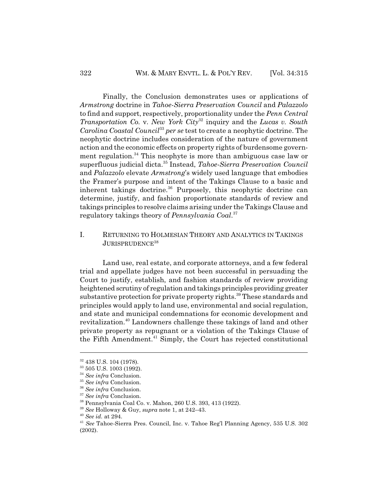Finally, the Conclusion demonstrates uses or applications of *Armstrong* doctrine in *Tahoe-Sierra Preservation Council* and *Palazzolo* to find and support, respectively, proportionality under the *Penn Central Transportation Co.* v. *New York City*32 inquiry and the *Lucas v. South Carolina Coastal Council*<sup>33</sup> *per se* test to create a neophytic doctrine. The neophytic doctrine includes consideration of the nature of government action and the economic effects on property rights of burdensome government regulation.<sup>34</sup> This neophyte is more than ambiguous case law or superfluous judicial dicta.<sup>35</sup> Instead, *Tahoe-Sierra Preservation Council* and *Palazzolo* elevate *Armstrong*'s widely used language that embodies the Framer's purpose and intent of the Takings Clause to a basic and inherent takings doctrine.<sup>36</sup> Purposely, this neophytic doctrine can determine, justify, and fashion proportionate standards of review and takings principles to resolve claims arising under the Takings Clause and regulatory takings theory of *Pennsylvania Coal*. 37

#### I. RETURNING TO HOLMESIAN THEORY AND ANALYTICS IN TAKINGS JURISPRUDENCE38

Land use, real estate, and corporate attorneys, and a few federal trial and appellate judges have not been successful in persuading the Court to justify, establish, and fashion standards of review providing heightened scrutiny of regulation and takings principles providing greater substantive protection for private property rights.<sup>39</sup> These standards and principles would apply to land use, environmental and social regulation, and state and municipal condemnations for economic development and revitalization.40 Landowners challenge these takings of land and other private property as repugnant or a violation of the Takings Clause of the Fifth Amendment.<sup>41</sup> Simply, the Court has rejected constitutional

<sup>32 438</sup> U.S. 104 (1978).

<sup>&</sup>lt;sup>33</sup> 505 U.S. 1003 (1992).

<sup>34</sup> *See infra* Conclusion.

<sup>35</sup> *See infra* Conclusion.

<sup>36</sup> *See infra* Conclusion.

<sup>37</sup> *See infra* Conclusion.

<sup>38</sup> Pennsylvania Coal Co. v. Mahon, 260 U.S. 393, 413 (1922).

<sup>39</sup> *See* Holloway & Guy, *supra* note 1, at 242–43.

<sup>40</sup> *See id.* at 294.

<sup>41</sup> *See* Tahoe-Sierra Pres. Council, Inc. v. Tahoe Reg'l Planning Agency, 535 U.S. 302 (2002).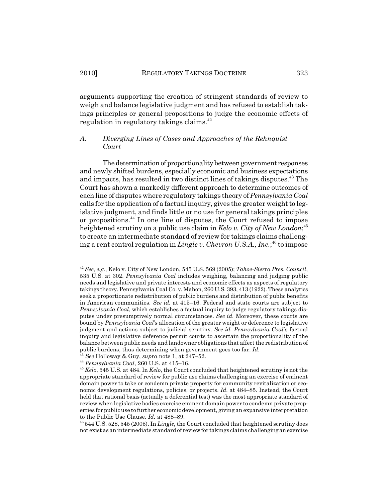arguments supporting the creation of stringent standards of review to weigh and balance legislative judgment and has refused to establish takings principles or general propositions to judge the economic effects of regulation in regulatory takings claims.42

#### *A. Diverging Lines of Cases and Approaches of the Rehnquist Court*

The determination of proportionality between government responses and newly shifted burdens, especially economic and business expectations and impacts, has resulted in two distinct lines of takings disputes.43 The Court has shown a markedly different approach to determine outcomes of each line of disputes where regulatory takings theory of *Pennsylvania Coal* calls for the application of a factual inquiry, gives the greater weight to legislative judgment, and finds little or no use for general takings principles or propositions.44 In one line of disputes, the Court refused to impose heightened scrutiny on a public use claim in *Kelo v. City of New London*; 45 to create an intermediate standard of review for takings claims challenging a rent control regulation in *Lingle v. Chevron U.S.A., Inc.*; 46 to impose

<sup>42</sup> *See, e.g.*, Kelo v. City of New London, 545 U.S. 569 (2005); *Tahoe-Sierra Pres. Council*, 535 U.S. at 302. *Pennsylvania Coal* includes weighing, balancing and judging public needs and legislative and private interests and economic effects as aspects of regulatory takings theory. Pennsylvania Coal Co. v. Mahon, 260 U.S. 393, 413 (1922). These analytics seek a proportionate redistribution of public burdens and distribution of public benefits in American communities. *See id.* at 415–16. Federal and state courts are subject to *Pennsylvania Coal*, which establishes a factual inquiry to judge regulatory takings disputes under presumptively normal circumstances. *See id.* Moreover, these courts are bound by *Pennsylvania Coal*'s allocation of the greater weight or deference to legislative judgment and actions subject to judicial scrutiny. *See id. Pennsylvania Coal*'s factual inquiry and legislative deference permit courts to ascertain the proportionality of the balance between public needs and landowner obligations that affect the redistribution of public burdens, thus determining when government goes too far. *Id.*

<sup>43</sup> *See* Holloway & Guy, *supra* note 1, at 247–52.

<sup>44</sup> *Pennsylvania Coal*, 260 U.S. at 415–16.

<sup>45</sup> *Kelo*, 545 U.S. at 484. In *Kelo*, the Court concluded that heightened scrutiny is not the appropriate standard of review for public use claims challenging an exercise of eminent domain power to take or condemn private property for community revitalization or economic development regulations, policies, or projects. *Id.* at 484–85. Instead, the Court held that rational basis (actually a deferential test) was the most appropriate standard of review when legislative bodies exercise eminent domain power to condemn private properties for public use to further economic development, giving an expansive interpretation to the Public Use Clause. *Id.* at 488–89.

<sup>46 544</sup> U.S. 528, 545 (2005). In *Lingle*, the Court concluded that heightened scrutiny does not exist as an intermediate standard of review for takings claims challenging an exercise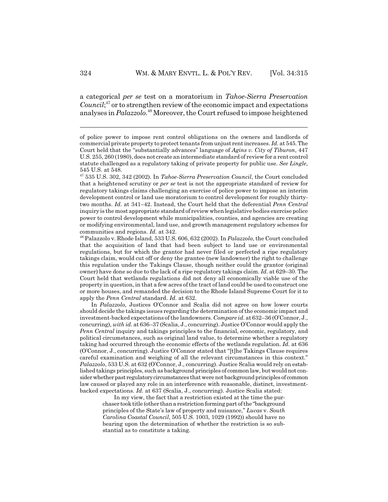a categorical *per se* test on a moratorium in *Tahoe-Sierra Preservation Council*; 47 or to strengthen review of the economic impact and expectations analyses in *Palazzolo*. 48 Moreover, the Court refused to impose heightened

48 Palazzolo v. Rhode Island, 533 U.S. 606, 632 (2002). In *Palazzolo*, the Court concluded that the acquisition of land that had been subject to land use or environmental regulations, but for which the grantor had never filed or perfected a ripe regulatory takings claim, would cut off or deny the grantee (new landowner) the right to challenge this regulation under the Takings Clause, though neither could the grantor (original owner) have done so due to the lack of a ripe regulatory takings claim. *Id.* at 629–30. The Court held that wetlands regulations did not deny all economically viable use of the property in question, in that a few acres of the tract of land could be used to construct one or more houses, and remanded the decision to the Rhode Island Supreme Court for it to apply the *Penn Central* standard. *Id.* at 632.

In *Palazzolo*, Justices O'Connor and Scalia did not agree on how lower courts should decide the takings issues regarding the determination of the economic impact and investment-backed expectations of the landowners. *Compare id.* at 632–36 (O'Connor, J., concurring), *with id.* at 636–37 (Scalia, J., concurring). Justice O'Connor would apply the *Penn Central* inquiry and takings principles to the financial, economic, regulatory, and political circumstances, such as original land value, to determine whether a regulatory taking had occurred through the economic effects of the wetlands regulation. *Id.* at 636 (O'Connor, J., concurring). Justice O'Connor stated that "[t]he Takings Clause requires careful examination and weighing of all the relevant circumstances in this context." *Palazzolo*, 533 U.S. at 632 (O'Connor, J., concurring). Justice Scalia would rely on established takings principles, such as background principles of common law, but would not consider whether past regulatory circumstances that were not background principles of common law caused or played any role in an interference with reasonable, distinct, investmentbacked expectations. *Id.* at 637 (Scalia, J., concurring). Justice Scalia stated:

In my view, the fact that a restriction existed at the time the purchaser took title (other than a restriction forming part of the "background principles of the State's law of property and nuisance," *Lucas* v. *South Carolina Coastal Council*, 505 U.S. 1003, 1029 (1992)) should have no bearing upon the determination of whether the restriction is so substantial as to constitute a taking.

of police power to impose rent control obligations on the owners and landlords of commercial private property to protect tenants from unjust rent increases. *Id.* at 545. The Court held that the "substantially advances" language of *Agins v. City of Tiburon*, 447 U.S. 255, 260 (1980), does not create an intermediate standard of review for a rent control statute challenged as a regulatory taking of private property for public use. *See Lingle*, 545 U.S. at 548.

<sup>47 535</sup> U.S. 302, 342 (2002). In *Tahoe-Sierra Preservation Council*, the Court concluded that a heightened scrutiny or *per se* test is not the appropriate standard of review for regulatory takings claims challenging an exercise of police power to impose an interim development control or land use moratorium to control development for roughly thirtytwo months. *Id.* at 341–42. Instead, the Court held that the deferential *Penn Central* inquiry is the most appropriate standard of review when legislative bodies exercise police power to control development while municipalities, counties, and agencies are creating or modifying environmental, land use, and growth management regulatory schemes for communities and regions. *Id.* at 342.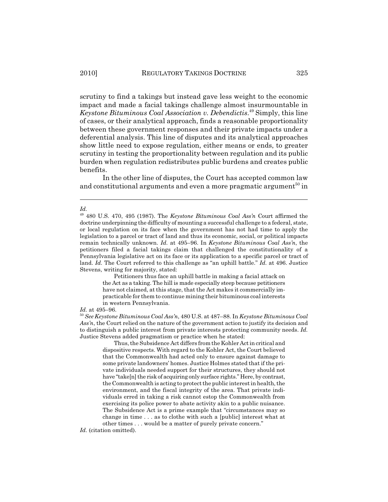scrutiny to find a takings but instead gave less weight to the economic impact and made a facial takings challenge almost insurmountable in *Keystone Bituminous Coal Association v. Debendictis*. 49 Simply, this line of cases, or their analytical approach, finds a reasonable proportionality between these government responses and their private impacts under a deferential analysis. This line of disputes and its analytical approaches show little need to expose regulation, either means or ends, to greater scrutiny in testing the proportionality between regulation and its public burden when regulation redistributes public burdens and creates public benefits.

In the other line of disputes, the Court has accepted common law and constitutional arguments and even a more pragmatic argument<sup>50</sup> in

Petitioners thus face an uphill battle in making a facial attack on the Act as a taking. The hill is made especially steep because petitioners have not claimed, at this stage, that the Act makes it commercially impracticable for them to continue mining their bituminous coal interests in western Pennsylvania.

<sup>50</sup> *See Keystone Bituminous Coal Ass'n*, 480 U.S. at 487–88. In *Keystone Bituminous Coal Ass'n*, the Court relied on the nature of the government action to justify its decision and to distinguish a public interest from private interests protecting community needs. *Id.* Justice Stevens added pragmatism or practice when he stated:

> Thus, the Subsidence Act differs from the Kohler Act in critical and dispositive respects. With regard to the Kohler Act, the Court believed that the Commonwealth had acted only to ensure against damage to some private landowners' homes. Justice Holmes stated that if the private individuals needed support for their structures, they should not have "take[n] the risk of acquiring only surface rights." Here, by contrast, the Commonwealth is acting to protect the public interest in health, the environment, and the fiscal integrity of the area. That private individuals erred in taking a risk cannot estop the Commonwealth from exercising its police power to abate activity akin to a public nuisance. The Subsidence Act is a prime example that "circumstances may so change in time . . . as to clothe with such a [public] interest what at other times . . . would be a matter of purely private concern."

*Id.*

<sup>49 480</sup> U.S. 470, 495 (1987). The *Keystone Bituminous Coal Ass'n* Court affirmed the doctrine underpinning the difficulty of mounting a successful challenge to a federal, state, or local regulation on its face when the government has not had time to apply the legislation to a parcel or tract of land and thus its economic, social, or political impacts remain technically unknown. *Id.* at 495–96. In *Keystone Bituminous Coal Ass'n*, the petitioners filed a facial takings claim that challenged the constitutionality of a Pennsylvania legislative act on its face or its application to a specific parcel or tract of land. *Id.* The Court referred to this challenge as "an uphill battle." *Id.* at 496. Justice Stevens, writing for majority, stated:

*Id.* at 495–96.

*Id.* (citation omitted).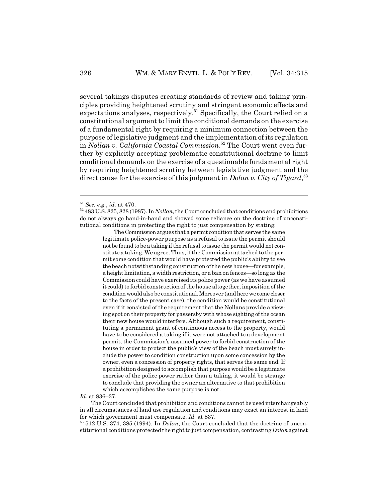several takings disputes creating standards of review and taking principles providing heightened scrutiny and stringent economic effects and expectations analyses, respectively.<sup>51</sup> Specifically, the Court relied on a constitutional argument to limit the conditional demands on the exercise of a fundamental right by requiring a minimum connection between the purpose of legislative judgment and the implementation of its regulation in *Nollan v. California Coastal Commission*. 52 The Court went even further by explicitly accepting problematic constitutional doctrine to limit conditional demands on the exercise of a questionable fundamental right by requiring heightened scrutiny between legislative judgment and the direct cause for the exercise of this judgment in *Dolan v. City of Tigard*,<sup>53</sup>

The Commission argues that a permit condition that serves the same legitimate police-power purpose as a refusal to issue the permit should not be found to be a taking if the refusal to issue the permit would not constitute a taking. We agree. Thus, if the Commission attached to the permit some condition that would have protected the public's ability to see the beach notwithstanding construction of the new house—for example, a height limitation, a width restriction, or a ban on fences—so long as the Commission could have exercised its police power (as we have assumed it could) to forbid construction of the house altogether, imposition of the condition would also be constitutional. Moreover (and here we come closer to the facts of the present case), the condition would be constitutional even if it consisted of the requirement that the Nollans provide a viewing spot on their property for passersby with whose sighting of the ocean their new house would interfere. Although such a requirement, constituting a permanent grant of continuous access to the property, would have to be considered a taking if it were not attached to a development permit, the Commission's assumed power to forbid construction of the house in order to protect the public's view of the beach must surely include the power to condition construction upon some concession by the owner, even a concession of property rights, that serves the same end. If a prohibition designed to accomplish that purpose would be a legitimate exercise of the police power rather than a taking, it would be strange to conclude that providing the owner an alternative to that prohibition which accomplishes the same purpose is not.

*Id.* at 836–37.

The Court concluded that prohibition and conditions cannot be used interchangeably in all circumstances of land use regulation and conditions may exact an interest in land for which government must compensate. *Id.* at 837.

53 512 U.S. 374, 385 (1994). In *Dolan*, the Court concluded that the doctrine of unconstitutional conditions protected the right to just compensation, contrasting *Dolan* against

<sup>51</sup> *See, e.g.*, *id.* at 470.

<sup>52 483</sup> U.S. 825, 828 (1987). In *Nollan*, the Court concluded that conditions and prohibitions do not always go hand-in-hand and showed some reliance on the doctrine of unconstitutional conditions in protecting the right to just compensation by stating: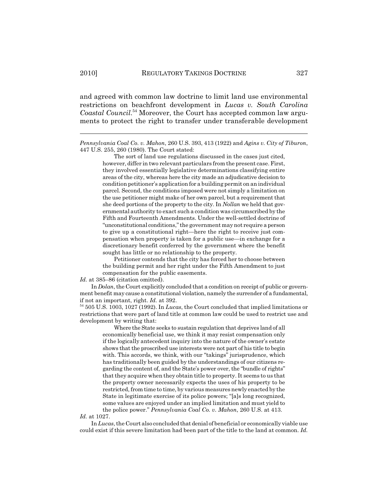and agreed with common law doctrine to limit land use environmental restrictions on beachfront development in *Lucas v. South Carolina Coastal Council*. 54 Moreover, the Court has accepted common law arguments to protect the right to transfer under transferable development

*Pennsylvania Coal Co. v. Mahon*, 260 U.S. 393, 413 (1922) and *Agins v. City of Tiburon*, 447 U.S. 255, 260 (1980). The Court stated:

The sort of land use regulations discussed in the cases just cited, however, differ in two relevant particulars from the present case. First, they involved essentially legislative determinations classifying entire areas of the city, whereas here the city made an adjudicative decision to condition petitioner's application for a building permit on an individual parcel. Second, the conditions imposed were not simply a limitation on the use petitioner might make of her own parcel, but a requirement that she deed portions of the property to the city. In *Nollan* we held that governmental authority to exact such a condition was circumscribed by the Fifth and Fourteenth Amendments. Under the well-settled doctrine of "unconstitutional conditions," the government may not require a person to give up a constitutional right—here the right to receive just compensation when property is taken for a public use—in exchange for a discretionary benefit conferred by the government where the benefit sought has little or no relationship to the property.

Petitioner contends that the city has forced her to choose between the building permit and her right under the Fifth Amendment to just compensation for the public easements.

*Id.* at 385–86 (citation omitted).

In *Dolan*, the Court explicitly concluded that a condition on receipt of public or government benefit may cause a constitutional violation, namely the surrender of a fundamental, if not an important, right. *Id.* at 392.

54 505 U.S. 1003, 1027 (1992). In *Lucas*, the Court concluded that implied limitations or restrictions that were part of land title at common law could be used to restrict use and development by writing that:

Where the State seeks to sustain regulation that deprives land of all economically beneficial use, we think it may resist compensation only if the logically antecedent inquiry into the nature of the owner's estate shows that the proscribed use interests were not part of his title to begin with. This accords, we think, with our "takings" jurisprudence, which has traditionally been guided by the understandings of our citizens regarding the content of, and the State's power over, the "bundle of rights" that they acquire when they obtain title to property. It seems to us that the property owner necessarily expects the uses of his property to be restricted, from time to time, by various measures newly enacted by the State in legitimate exercise of its police powers; "[a]s long recognized, some values are enjoyed under an implied limitation and must yield to the police power." *Pennsylvania Coal Co. v. Mahon*, 260 U.S. at 413.

*Id.* at 1027.

In *Lucas*, the Court also concluded that denial of beneficial or economically viable use could exist if this severe limitation had been part of the title to the land at common. *Id.*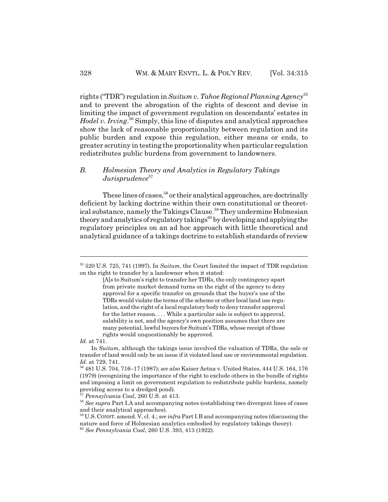rights ("TDR") regulation in *Suitum v. Tahoe Regional Planning Agency*<sup>55</sup> and to prevent the abrogation of the rights of descent and devise in limiting the impact of government regulation on descendants' estates in Hodel v. Irving.<sup>56</sup> Simply, this line of disputes and analytical approaches show the lack of reasonable proportionality between regulation and its public burden and expose this regulation, either means or ends, to greater scrutiny in testing the proportionality when particular regulation redistributes public burdens from government to landowners.

#### *B. Holmesian Theory and Analytics in Regulatory Takings*  $Jurisprudence<sup>57</sup>$

These lines of cases,<sup>58</sup> or their analytical approaches, are doctrinally deficient by lacking doctrine within their own constitutional or theoretical substance, namely the Takings Clause.<sup>59</sup> They undermine Holmesian theory and analytics of regulatory takings<sup>60</sup> by developing and applying the regulatory principles on an ad hoc approach with little theoretical and analytical guidance of a takings doctrine to establish standards of review

<sup>55 520</sup> U.S. 725, 741 (1997). In *Suitum*, the Court limited the impact of TDR regulation on the right to transfer by a landowner when it stated:

<sup>[</sup>A]s to Suitum's right to transfer her TDRs, the only contingency apart from private market demand turns on the right of the agency to deny approval for a specific transfer on grounds that the buyer's use of the TDRs would violate the terms of the scheme or other local land use regulation, and the right of a local regulatory body to deny transfer approval for the latter reason. . . . While a particular sale is subject to approval, salability is not, and the agency's own position assumes that there are many potential, lawful buyers for Suitum's TDRs, whose receipt of those rights would unquestionably be approved.

*Id.* at 741.

In *Suitum*, although the takings issue involved the valuation of TDRs, the sale or transfer of land would only be an issue if it violated land use or environmental regulation. *Id.* at 729, 741.

<sup>56 481</sup> U.S. 704, 716–17 (1987); *see also* Kaiser Aetna v. United States, 444 U.S. 164, 176 (1979) (recognizing the importance of the right to exclude others in the bundle of rights and imposing a limit on government regulation to redistribute public burdens, namely providing access to a dredged pond).

<sup>57</sup> *Pennsylvania Coal*, 260 U.S. at 413.

<sup>58</sup> *See supra* Part I.A and accompanying notes (establishing two divergent lines of cases and their analytical approaches).

<sup>59</sup> U.S.CONST. amend. V, cl. 4.; *see infra* Part I.B and accompanying notes (discussing the nature and force of Holmesian analytics embodied by regulatory takings theory).

<sup>60</sup> *See Pennsylvania Coal*, 260 U.S. 393, 413 (1922).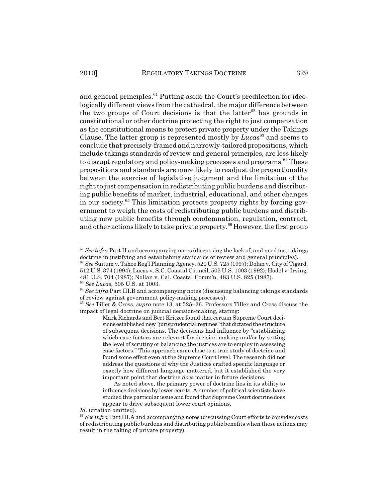and general principles. $61$  Putting aside the Court's predilection for ideologically different views from the cathedral, the major difference between the two groups of Court decisions is that the latter<sup>62</sup> has grounds in constitutional or other doctrine protecting the right to just compensation as the constitutional means to protect private property under the Takings Clause. The latter group is represented mostly by *Lucas*63 and seems to conclude that precisely-framed and narrowly-tailored propositions, which include takings standards of review and general principles, are less likely to disrupt regulatory and policy-making processes and programs.<sup>64</sup> These propositions and standards are more likely to readjust the proportionality between the exercise of legislative judgment and the limitation of the right to just compensation in redistributing public burdens and distributing public benefits of market, industrial, educational, and other changes in our society.65 This limitation protects property rights by forcing government to weigh the costs of redistributing public burdens and distributing new public benefits through condemnation, regulation, contract, and other actions likely to take private property.<sup>66</sup> However, the first group

<sup>62</sup> *See* Suitum v. Tahoe Reg'l Planning Agency, 520 U.S. 725 (1997); Dolan v. City of Tigard, 512 U.S. 374 (1994); Lucas v. S.C. Coastal Council, 505 U.S. 1003 (1992); Hodel v. Irving, 481 U.S. 704 (1987); Nollan v. Cal. Coastal Comm'n, 483 U.S. 825 (1987).

<sup>63</sup> *See Lucas*, 505 U.S. at 1003.

As noted above, the primary power of doctrine lies in its ability to influence decisions by lower courts. A number of political scientists have studied this particular issue and found that Supreme Court doctrine does appear to drive subsequent lower court opinions.

*Id.* (citation omitted).

<sup>61</sup> *See infra* Part II and accompanying notes (discussing the lack of, and need for, takings doctrine in justifying and establishing standards of review and general principles).

<sup>&</sup>lt;sup>64</sup> See infra Part III.B and accompanying notes (discussing balancing takings standards of review against government policy-making processes).

<sup>65</sup> *See* Tiller & Cross, *supra* note 13, at 525–26. Professors Tiller and Cross discuss the impact of legal doctrine on judicial decision-making, stating:

Mark Richards and Bert Kritzer found that certain Supreme Court decisions established new "jurisprudential regimes" that dictated the structure of subsequent decisions. The decisions had influence by "establishing which case factors are relevant for decision making and/or by setting the level of scrutiny or balancing the justices are to employ in assessing case factors." This approach came close to a true study of doctrine and found some effect even at the Supreme Court level. The research did not address the questions of why the Justices crafted specific language or exactly how different language mattered, but it established the very important point that doctrine *does* matter in future decisions.

<sup>66</sup> *See infra* Part III.A and accompanying notes (discussing Court efforts to consider costs of redistributing public burdens and distributing public benefits when these actions may result in the taking of private property).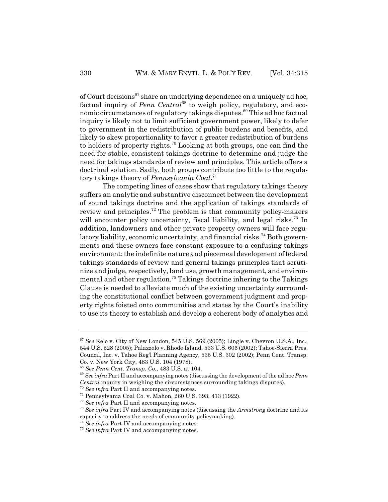of Court decisions<sup>67</sup> share an underlying dependence on a uniquely ad hoc, factual inquiry of *Penn Central*<sup>68</sup> to weigh policy, regulatory, and economic circumstances of regulatory takings disputes.<sup>69</sup> This ad hoc factual inquiry is likely not to limit sufficient government power, likely to defer to government in the redistribution of public burdens and benefits, and likely to skew proportionality to favor a greater redistribution of burdens to holders of property rights.<sup>70</sup> Looking at both groups, one can find the need for stable, consistent takings doctrine to determine and judge the need for takings standards of review and principles. This article offers a doctrinal solution. Sadly, both groups contribute too little to the regulatory takings theory of *Pennsylvania Coal*. 71

The competing lines of cases show that regulatory takings theory suffers an analytic and substantive disconnect between the development of sound takings doctrine and the application of takings standards of review and principles.<sup>72</sup> The problem is that community policy-makers will encounter policy uncertainty, fiscal liability, and legal risks.<sup>73</sup> In addition, landowners and other private property owners will face regulatory liability, economic uncertainty, and financial risks.<sup>74</sup> Both governments and these owners face constant exposure to a confusing takings environment: the indefinite nature and piecemeal development of federal takings standards of review and general takings principles that scrutinize and judge, respectively, land use, growth management, and environmental and other regulation.75 Takings doctrine inhering to the Takings Clause is needed to alleviate much of the existing uncertainty surrounding the constitutional conflict between government judgment and property rights foisted onto communities and states by the Court's inability to use its theory to establish and develop a coherent body of analytics and

<sup>67</sup> *See* Kelo v. City of New London, 545 U.S. 569 (2005); Lingle v. Chevron U.S.A., Inc., 544 U.S. 528 (2005); Palazzolo v. Rhode Island, 533 U.S. 606 (2002); Tahoe-Sierra Pres. Council, Inc. v. Tahoe Reg'l Planning Agency, 535 U.S. 302 (2002); Penn Cent. Transp. Co. v. New York City, 483 U.S. 104 (1978).

<sup>68</sup> *See Penn Cent. Transp. Co.*, 483 U.S. at 104.

<sup>69</sup> *See infra* Part II and accompanying notes (discussing the development of the ad hoc *Penn Central* inquiry in weighing the circumstances surrounding takings disputes).

<sup>70</sup> *See infra* Part II and accompanying notes.

<sup>71</sup> Pennsylvania Coal Co. v. Mahon, 260 U.S. 393, 413 (1922).

<sup>72</sup> *See infra* Part II and accompanying notes.

<sup>73</sup> *See infra* Part IV and accompanying notes (discussing the *Armstrong* doctrine and its capacity to address the needs of community policymaking).

<sup>74</sup> *See infra* Part IV and accompanying notes.

<sup>75</sup> *See infra* Part IV and accompanying notes.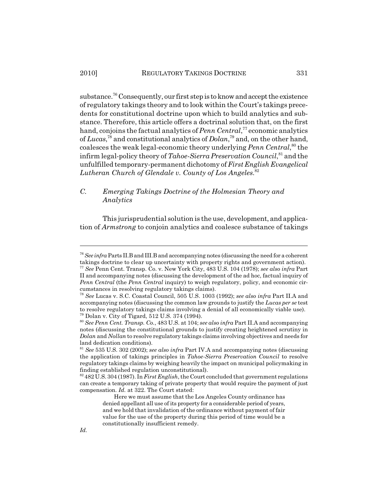substance.76 Consequently, our first step is to know and accept the existence of regulatory takings theory and to look within the Court's takings precedents for constitutional doctrine upon which to build analytics and substance. Therefore, this article offers a doctrinal solution that, on the first hand, conjoins the factual analytics of *Penn Central*, 77 economic analytics of *Lucas*, 78 and constitutional analytics of *Dolan*, 79 and, on the other hand, coalesces the weak legal-economic theory underlying *Penn Central*, 80 the infirm legal-policy theory of *Tahoe-Sierra Preservation Council*, 81 and the unfulfilled temporary-permanent dichotomy of *First English Evangelical Lutheran Church of Glendale v. County of Los Angeles*. 82

## *C. Emerging Takings Doctrine of the Holmesian Theory and Analytics*

This jurisprudential solution is the use, development, and application of *Armstrong* to conjoin analytics and coalesce substance of takings

82 482 U.S. 304 (1987). In *First English*, the Court concluded that government regulations can create a temporary taking of private property that would require the payment of just compensation. *Id.* at 322. The Court stated:

*Id.*

<sup>76</sup> *See infra* Parts II.B and III.B and accompanying notes (discussing the need for a coherent takings doctrine to clear up uncertainty with property rights and government action).

<sup>77</sup> *See* Penn Cent. Transp. Co. v. New York City, 483 U.S. 104 (1978); *see also infra* Part II and accompanying notes (discussing the development of the ad hoc, factual inquiry of *Penn Central* (the *Penn Central* inquiry) to weigh regulatory, policy, and economic circumstances in resolving regulatory takings claims).

<sup>78</sup> *See* Lucas v. S.C. Coastal Council, 505 U.S. 1003 (1992); *see also infra* Part II.A and accompanying notes (discussing the common law grounds to justify the *Lucas per se* test to resolve regulatory takings claims involving a denial of all economically viable use). 79 Dolan v. City of Tigard, 512 U.S. 374 (1994).

<sup>80</sup> *See Penn Cent. Transp. Co.*, 483 U.S. at 104; *see also infra* Part II.A and accompanying notes (discussing the constitutional grounds to justify creating heightened scrutiny in *Dolan* and *Nollan* to resolve regulatory takings claims involving objectives and needs for land dedication conditions).

<sup>81</sup> *See* 535 U.S. 302 (2002); *see also infra* Part IV.A and accompanying notes (discussing the application of takings principles in *Tahoe-Sierra Preservation Council* to resolve regulatory takings claims by weighing heavily the impact on municipal policymaking in finding established regulation unconstitutional).

Here we must assume that the Los Angeles County ordinance has denied appellant all use of its property for a considerable period of years, and we hold that invalidation of the ordinance without payment of fair value for the use of the property during this period of time would be a constitutionally insufficient remedy.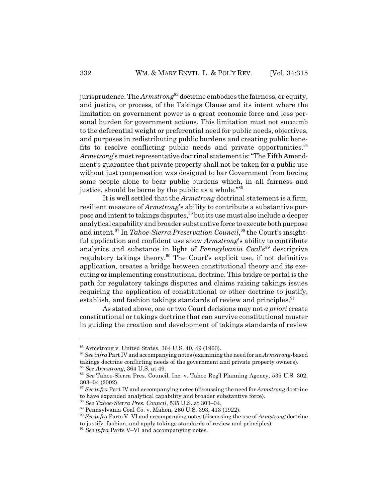jurisprudence. The *Armstrong*<sup>83</sup> doctrine embodies the fairness, or equity, and justice, or process, of the Takings Clause and its intent where the limitation on government power is a great economic force and less personal burden for government actions. This limitation must not succumb to the deferential weight or preferential need for public needs, objectives, and purposes in redistributing public burdens and creating public benefits to resolve conflicting public needs and private opportunities. $84$ *Armstrong*'s most representative doctrinal statement is: "The Fifth Amendment's guarantee that private property shall not be taken for a public use without just compensation was designed to bar Government from forcing some people alone to bear public burdens which, in all fairness and justice, should be borne by the public as a whole."<sup>85</sup>

It is well settled that the *Armstrong* doctrinal statement is a firm, resilient measure of *Armstrong*'s ability to contribute a substantive purpose and intent to takings disputes,<sup>86</sup> but its use must also include a deeper analytical capability and broader substantive force to execute both purpose and intent.87 In *Tahoe-Sierra Preservation Council*, 88 the Court's insightful application and confident use show *Armstrong*'s ability to contribute analytics and substance in light of *Pennsylvania Coal*'s<sup>89</sup> descriptive regulatory takings theory.<sup>90</sup> The Court's explicit use, if not definitive application, creates a bridge between constitutional theory and its executing or implementing constitutional doctrine. This bridge or portal is the path for regulatory takings disputes and claims raising takings issues requiring the application of constitutional or other doctrine to justify, establish, and fashion takings standards of review and principles.<sup>91</sup>

As stated above, one or two Court decisions may not *a priori* create constitutional or takings doctrine that can survive constitutional muster in guiding the creation and development of takings standards of review

<sup>83</sup> Armstrong v. United States, 364 U.S. 40, 49 (1960).

<sup>84</sup>*See infra* Part IV and accompanying notes (examining the need for an *Armstrong*-based takings doctrine conflicting needs of the government and private property owners).

<sup>85</sup> *See Armstrong*, 364 U.S. at 49.

<sup>86</sup> *See* Tahoe-Sierra Pres. Council, Inc. v. Tahoe Reg'l Planning Agency, 535 U.S. 302, 303–04 (2002).

<sup>87</sup> *See infra* Part IV and accompanying notes (discussing the need for *Armstrong* doctrine to have expanded analytical capability and broader substantive force).

<sup>88</sup> *See Tahoe-Sierra Pres. Council*, 535 U.S. at 303–04.

<sup>89</sup> Pennsylvania Coal Co. v. Mahon, 260 U.S. 393, 413 (1922).

<sup>90</sup> *See infra* Parts V–VI and accompanying notes (discussing the use of *Armstrong* doctrine to justify, fashion, and apply takings standards of review and principles).

<sup>&</sup>lt;sup>91</sup> *See infra* Parts V–VI and accompanying notes.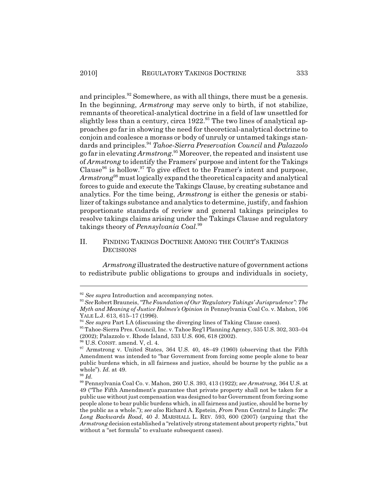and principles.<sup>92</sup> Somewhere, as with all things, there must be a genesis. In the beginning, *Armstrong* may serve only to birth, if not stabilize, remnants of theoretical-analytical doctrine in a field of law unsettled for slightly less than a century, circa 1922.<sup>93</sup> The two lines of analytical approaches go far in showing the need for theoretical-analytical doctrine to conjoin and coalesce a morass or body of unruly or untamed takings standards and principles.94 *Tahoe-Sierra Preservation Council* and *Palazzolo* go far in elevating *Armstrong*. 95 Moreover, the repeated and insistent use of *Armstrong* to identify the Framers' purpose and intent for the Takings Clause<sup>96</sup> is hollow.<sup>97</sup> To give effect to the Framer's intent and purpose, *Armstrong*98 must logically expand the theoretical capacity and analytical forces to guide and execute the Takings Clause, by creating substance and analytics. For the time being, *Armstrong* is either the genesis or stabilizer of takings substance and analytics to determine, justify, and fashion proportionate standards of review and general takings principles to resolve takings claims arising under the Takings Clause and regulatory takings theory of *Pennsylvania Coal*. 99

#### II. FINDING TAKINGS DOCTRINE AMONG THE COURT'S TAKINGS **DECISIONS**

*Armstrong* illustrated the destructive nature of government actions to redistribute public obligations to groups and individuals in society,

<sup>&</sup>lt;sup>92</sup> See supra Introduction and accompanying notes.

<sup>93</sup> *See* Robert Brauneis, *"The Foundation of Our 'Regulatory Takings' Jurisprudence": The Myth and Meaning of Justice Holmes's Opinion in* Pennsylvania Coal Co. v. Mahon, 106 YALE L.J. 613, 615–17 (1996).

<sup>&</sup>lt;sup>94</sup> See supra Part I.A (discussing the diverging lines of Taking Clause cases).

<sup>95</sup> Tahoe-Sierra Pres. Council, Inc. v. Tahoe Reg'l Planning Agency, 535 U.S. 302, 303–04 (2002); Palazzolo v. Rhode Island, 533 U.S. 606, 618 (2002).

 $96$  U.S. CONST. amend. V, cl. 4.

 $97$  Armstrong v. United States, 364 U.S. 40, 48–49 (1960) (observing that the Fifth Amendment was intended to "bar Government from forcing some people alone to bear public burdens which, in all fairness and justice, should be bourne by the public as a whole"). *Id.* at 49.

<sup>98</sup> *Id.*

<sup>99</sup> Pennsylvania Coal Co. v. Mahon, 260 U.S. 393, 413 (1922); *see Armstrong*, 364 U.S. at 49 ("The Fifth Amendment's guarantee that private property shall not be taken for a public use without just compensation was designed to bar Government from forcing some people alone to bear public burdens which, in all fairness and justice, should be borne by the public as a whole."); *see also* Richard A. Epstein, *From* Penn Central *to* Lingle*: The Long Backwards Road*, 40 J. MARSHALL L. REV. 593, 600 (2007) (arguing that the *Armstrong* decision established a "relatively strong statement about property rights," but without a "set formula" to evaluate subsequent cases).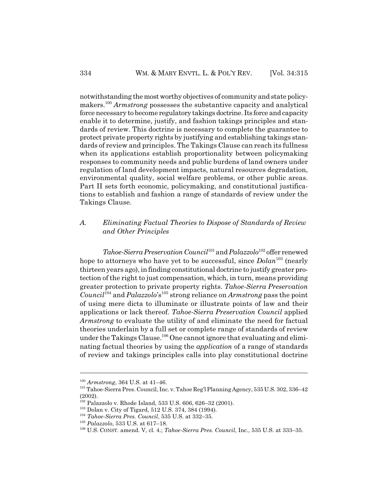notwithstanding the most worthy objectives of community and state policymakers.100 *Armstrong* possesses the substantive capacity and analytical force necessary to become regulatory takings doctrine. Its force and capacity enable it to determine, justify, and fashion takings principles and standards of review. This doctrine is necessary to complete the guarantee to protect private property rights by justifying and establishing takings standards of review and principles. The Takings Clause can reach its fullness when its applications establish proportionality between policymaking responses to community needs and public burdens of land owners under regulation of land development impacts, natural resources degradation, environmental quality, social welfare problems, or other public areas. Part II sets forth economic, policymaking, and constitutional justifications to establish and fashion a range of standards of review under the Takings Clause.

### *A. Eliminating Factual Theories to Dispose of Standards of Review and Other Principles*

*Tahoe-Sierra Preservation Council*101 and *Palazzolo*102 offer renewed hope to attorneys who have yet to be successful, since *Dolan*<sup>103</sup> (nearly thirteen years ago), in finding constitutional doctrine to justify greater protection of the right to just compensation, which, in turn, means providing greater protection to private property rights. *Tahoe-Sierra Preservation Council*104 and *Palazzolo*'s105 strong reliance on *Armstrong* pass the point of using mere dicta to illuminate or illustrate points of law and their applications or lack thereof. *Tahoe-Sierra Preservation Council* applied *Armstrong* to evaluate the utility of and eliminate the need for factual theories underlain by a full set or complete range of standards of review under the Takings Clause.<sup>106</sup> One cannot ignore that evaluating and eliminating factual theories by using the *application* of a range of standards of review and takings principles calls into play constitutional doctrine

<sup>100</sup> *Armstrong*, 364 U.S. at 41–46.

<sup>101</sup> Tahoe-Sierra Pres. Council, Inc. v. Tahoe Reg'l Planning Agency, 535 U.S. 302, 336–42  $(2002)$ 

<sup>102</sup> Palazzolo v. Rhode Island, 533 U.S. 606, 626–32 (2001).

<sup>103</sup> Dolan v. City of Tigard, 512 U.S. 374, 384 (1994).

<sup>104</sup> *Tahoe-Sierra Pres. Council*, 535 U.S. at 332–35.

<sup>105</sup> *Palazzolo*, 533 U.S. at 617–18.

<sup>106</sup> U.S. CONST. amend. V, cl. 4.; *Tahoe-Sierra Pres. Council*, Inc., 535 U.S. at 333–35.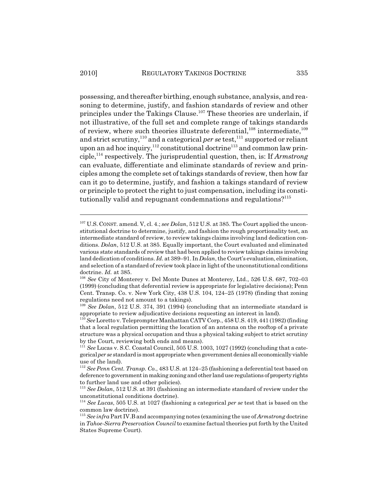possessing, and thereafter birthing, enough substance, analysis, and reasoning to determine, justify, and fashion standards of review and other principles under the Takings Clause.<sup>107</sup> These theories are underlain, if not illustrative, of the full set and complete range of takings standards of review, where such theories illustrate deferential, $^{108}$  intermediate, $^{109}$ and strict scrutiny,<sup>110</sup> and a categorical *per se* test,<sup>111</sup> supported or reliant upon an ad hoc inquiry,<sup>112</sup> constitutional doctrine<sup>113</sup> and common law principle,114 respectively. The jurisprudential question, then, is: If *Armstrong* can evaluate, differentiate and eliminate standards of review and principles among the complete set of takings standards of review, then how far can it go to determine, justify, and fashion a takings standard of review or principle to protect the right to just compensation, including its constitutionally valid and repugnant condemnations and regulations?<sup>115</sup>

<sup>107</sup> U.S. CONST. amend. V, cl. 4.; *see Dolan*, 512 U.S. at 385. The Court applied the unconstitutional doctrine to determine, justify, and fashion the rough proportionality test, an intermediate standard of review, to review takings claims involving land dedication conditions. *Dolan*, 512 U.S. at 385. Equally important, the Court evaluated and eliminated various state standards of review that had been applied to review takings claims involving land dedication of conditions. *Id.* at 389–91. In *Dolan*, the Court's evaluation, elimination, and selection of a standard of review took place in light of the unconstitutional conditions doctrine. *Id.* at 385.

<sup>108</sup> *See* City of Monterey v. Del Monte Dunes at Monterey, Ltd., 526 U.S. 687, 702–03 (1999) (concluding that deferential review is appropriate for legislative decisions); Penn Cent. Transp. Co. v. New York City, 438 U.S. 104, 124–25 (1978) (finding that zoning regulations need not amount to a takings).

<sup>&</sup>lt;sup>109</sup> *See Dolan*, 512 U.S. 374, 391 (1994) (concluding that an intermediate standard is appropriate to review adjudicative decisions requesting an interest in land).

<sup>110</sup>*See* Loretto v. Teleprompter Manhattan CATV Corp., 458 U.S. 419, 441 (1982) (finding that a local regulation permitting the location of an antenna on the rooftop of a private structure was a physical occupation and thus a physical taking subject to strict scrutiny by the Court, reviewing both ends and means).

<sup>111</sup> *See* Lucas v. S.C. Coastal Council, 505 U.S. 1003, 1027 (1992) (concluding that a categorical *per se* standard is most appropriate when government denies all economically viable use of the land).

<sup>112</sup> *See Penn Cent. Transp. Co.*, 483 U.S. at 124–25 (fashioning a deferential test based on deference to government in making zoning and other land use regulations of property rights to further land use and other policies).

<sup>113</sup> *See Dolan*, 512 U.S. at 391 (fashioning an intermediate standard of review under the unconstitutional conditions doctrine).

<sup>114</sup> *See Lucas*, 505 U.S. at 1027 (fashioning a categorical *per se* test that is based on the common law doctrine).

<sup>115</sup> *See infra* Part IV.B and accompanying notes (examining the use of *Armstrong* doctrine in *Tahoe-Sierra Preservation Council* to examine factual theories put forth by the United States Supreme Court).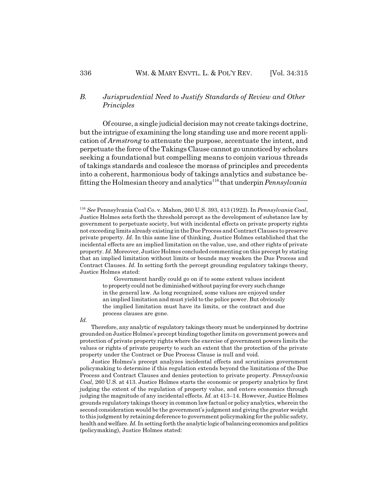#### *B. Jurisprudential Need to Justify Standards of Review and Other Principles*

Of course, a single judicial decision may not create takings doctrine, but the intrigue of examining the long standing use and more recent application of *Armstrong* to attenuate the purpose, accentuate the intent, and perpetuate the force of the Takings Clause cannot go unnoticed by scholars seeking a foundational but compelling means to conjoin various threads of takings standards and coalesce the morass of principles and precedents into a coherent, harmonious body of takings analytics and substance befitting the Holmesian theory and analytics116 that underpin *Pennsylvania* 

Government hardly could go on if to some extent values incident to property could not be diminished without paying for every such change in the general law. As long recognized, some values are enjoyed under an implied limitation and must yield to the police power. But obviously the implied limitation must have its limits, or the contract and due process clauses are gone.

*Id.*

Therefore, any analytic of regulatory takings theory must be underpinned by doctrine grounded on Justice Holmes's precept binding together limits on government powers and protection of private property rights where the exercise of government powers limits the values or rights of private property to such an extent that the protection of the private property under the Contract or Due Process Clause is null and void.

Justice Holmes's precept analyzes incidental effects and scrutinizes government policymaking to determine if this regulation extends beyond the limitations of the Due Process and Contract Clauses and denies protection to private property. *Pennsylvania Coal*, 260 U.S. at 413. Justice Holmes starts the economic or property analytics by first judging the extent of the regulation of property value, and enters economics through judging the magnitude of any incidental effects. *Id.* at 413–14. However, Justice Holmes grounds regulatory takings theory in common law factual or policy analytics, wherein the second consideration would be the government's judgment and giving the greater weight to this judgment by retaining deference to government policymaking for the public safety, health and welfare. *Id.* In setting forth the analytic logic of balancing economics and politics (policymaking), Justice Holmes stated:

<sup>116</sup> *See* Pennsylvania Coal Co. v. Mahon, 260 U.S. 393, 413 (1922). In *Pennsylvania Coal*, Justice Holmes sets forth the threshold percept as the development of substance law by government to perpetuate society, but with incidental effects on private property rights not exceeding limits already existing in the Due Process and Contract Clauses to preserve private property. *Id.* In this same line of thinking, Justice Holmes established that the incidental effects are an implied limitation on the value, use, and other rights of private property. *Id.* Moreover, Justice Holmes concluded commenting on this precept by stating that an implied limitation without limits or bounds may weaken the Due Process and Contract Clauses. *Id.* In setting forth the percept grounding regulatory takings theory, Justice Holmes stated: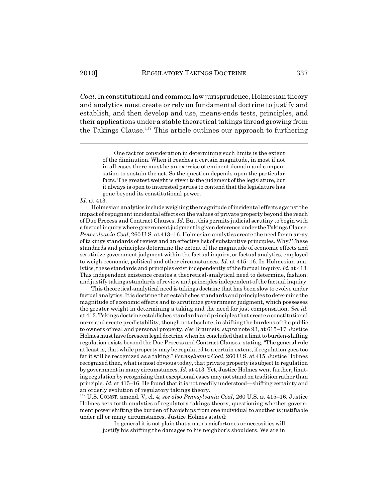*Coal*. In constitutional and common law jurisprudence, Holmesian theory and analytics must create or rely on fundamental doctrine to justify and establish, and then develop and use, means-ends tests, principles, and their applications under a stable theoretical takings thread growing from the Takings Clause.<sup>117</sup> This article outlines our approach to furthering

*Id.* at 413.

Holmesian analytics include weighing the magnitude of incidental effects against the impact of repugnant incidental effects on the values of private property beyond the reach of Due Process and Contract Clauses. *Id.* But, this permits judicial scrutiny to begin with a factual inquiry where government judgment is given deference under the Takings Clause. *Pennsylvania Coal*, 260 U.S. at 413–16. Holmesian analytics create the need for an array of takings standards of review and an effective list of substantive principles. Why? These standards and principles determine the extent of the magnitude of economic effects and scrutinize government judgment within the factual inquiry, or factual analytics, employed to weigh economic, political and other circumstances. *Id.* at 415–16. In Holmesian analytics, these standards and principles exist independently of the factual inquiry. *Id.* at 413. This independent existence creates a theoretical-analytical need to determine, fashion, and justify takings standards of review and principles independent of the factual inquiry.

This theoretical-analytical need is takings doctrine that has been slow to evolve under factual analytics. It is doctrine that establishes standards and principles to determine the magnitude of economic effects and to scrutinize government judgment, which possesses the greater weight in determining a taking and the need for just compensation. *See id.* at 413. Takings doctrine establishes standards and principles that create a constitutional norm and create predictability, though not absolute, in shifting the burdens of the public to owners of real and personal property. *See* Brauneis, *supra* note 93, at 615–17. Justice Holmes must have foreseen legal doctrine when he concluded that a limit to burden-shifting regulation exists beyond the Due Process and Contract Clauses, stating, "The general rule at least is, that while property may be regulated to a certain extent, if regulation goes too far it will be recognized as a taking." *Pennsylvania Coal*, 260 U.S. at 415. Justice Holmes recognized then, what is most obvious today, that private property is subject to regulation by government in many circumstances. *Id.* at 413. Yet, Justice Holmes went further, limiting regulation by recognizing that exceptional cases may not stand on tradition rather than principle. *Id.* at 415–16. He found that it is not readily understood—shifting certainty and an orderly evolution of regulatory takings theory.

117 U.S. CONST. amend. V, cl. 4; *see also Pennsylvania Coal*, 260 U.S. at 415–16. Justice Holmes sets forth analytics of regulatory takings theory, questioning whether government power shifting the burden of hardships from one individual to another is justifiable under all or many circumstances. Justice Holmes stated:

In general it is not plain that a man's misfortunes or necessities will justify his shifting the damages to his neighbor's shoulders. We are in

One fact for consideration in determining such limits is the extent of the diminution. When it reaches a certain magnitude, in most if not in all cases there must be an exercise of eminent domain and compensation to sustain the act. So the question depends upon the particular facts. The greatest weight is given to the judgment of the legislature, but it always is open to interested parties to contend that the legislature has gone beyond its constitutional power.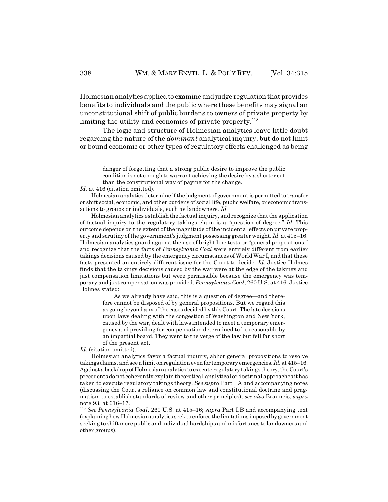Holmesian analytics applied to examine and judge regulation that provides benefits to individuals and the public where these benefits may signal an unconstitutional shift of public burdens to owners of private property by limiting the utility and economics of private property.<sup>118</sup>

The logic and structure of Holmesian analytics leave little doubt regarding the nature of the *dominant* analytical inquiry, but do not limit or bound economic or other types of regulatory effects challenged as being

Id. at 416 (citation omitted).

Holmesian analytics determine if the judgment of government is permitted to transfer or shift social, economic, and other burdens of social life, public welfare, or economic transactions to groups or individuals, such as landowners. *Id.*

Holmesian analytics establish the factual inquiry, and recognize that the application of factual inquiry to the regulatory takings claim is a "question of degree." *Id.* This outcome depends on the extent of the magnitude of the incidental effects on private property and scrutiny of the government's judgment possessing greater weight. *Id.* at 415–16. Holmesian analytics guard against the use of bright line tests or "general propositions," and recognize that the facts of *Pennsylvania Coal* were entirely different from earlier takings decisions caused by the emergency circumstances of World War I, and that these facts presented an entirely different issue for the Court to decide. *Id.* Justice Holmes finds that the takings decisions caused by the war were at the edge of the takings and just compensation limitations but were permissible because the emergency was temporary and just compensation was provided. *Pennsylvania Coal*, 260 U.S. at 416. Justice Holmes stated:

> As we already have said, this is a question of degree—and therefore cannot be disposed of by general propositions. But we regard this as going beyond any of the cases decided by this Court. The late decisions upon laws dealing with the congestion of Washington and New York, caused by the war, dealt with laws intended to meet a temporary emergency and providing for compensation determined to be reasonable by an impartial board. They went to the verge of the law but fell far short of the present act.

*Id.* (citation omitted).

Holmesian analytics favor a factual inquiry, abhor general propositions to resolve takings claims, and see a limit on regulation even for temporary emergencies. *Id.* at 415–16. Against a backdrop of Holmesian analytics to execute regulatory takings theory, the Court's precedents do not coherently explain theoretical-analytical or doctrinal approaches it has taken to execute regulatory takings theory. *See supra* Part I.A and accompanying notes (discussing the Court's reliance on common law and constitutional doctrine and pragmatism to establish standards of review and other principles); *see also* Brauneis, *supra* note 93, at 616–17.

<sup>118</sup> *See Pennsylvania Coal*, 260 U.S. at 415–16; *supra* Part I.B and accompanying text (explaining how Holmesian analytics seek to enforce the limitations imposed by government seeking to shift more public and individual hardships and misfortunes to landowners and other groups).

danger of forgetting that a strong public desire to improve the public condition is not enough to warrant achieving the desire by a shorter cut than the constitutional way of paying for the change.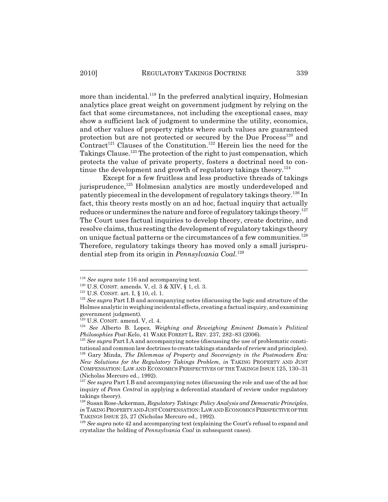more than incidental.<sup>119</sup> In the preferred analytical inquiry, Holmesian analytics place great weight on government judgment by relying on the fact that some circumstances, not including the exceptional cases, may show a sufficient lack of judgment to undermine the utility, economics, and other values of property rights where such values are guaranteed protection but are not protected or secured by the Due Process<sup>120</sup> and  $\text{Contract}^{121}$  Clauses of the Constitution.<sup>122</sup> Herein lies the need for the Takings Clause.<sup>123</sup> The protection of the right to just compensation, which protects the value of private property, fosters a doctrinal need to continue the development and growth of regulatory takings theory.<sup>124</sup>

Except for a few fruitless and less productive threads of takings jurisprudence,<sup>125</sup> Holmesian analytics are mostly underdeveloped and patently piecemeal in the development of regulatory takings theory.126 In fact, this theory rests mostly on an ad hoc, factual inquiry that actually reduces or undermines the nature and force of regulatory takings theory.<sup>127</sup> The Court uses factual inquiries to develop theory, create doctrine, and resolve claims, thus resting the development of regulatory takings theory on unique factual patterns or the circumstances of a few communities.<sup>128</sup> Therefore, regulatory takings theory has moved only a small jurisprudential step from its origin in *Pennsylvania Coal*. 129

<sup>119</sup> *See supra* note 116 and accompanying text.

 $120$  U.S. CONST. amends. V, cl. 3 & XIV, § 1, cl. 3.

<sup>121</sup> U.S. CONST. art. I, § 10, cl. 1.

<sup>&</sup>lt;sup>122</sup> See supra Part I.B and accompanying notes (discussing the logic and structure of the Holmes analytic in weighing incidental effects, creating a factual inquiry, and examining government judgment).

<sup>&</sup>lt;sup>123</sup> U.S. CONST. amend. V, cl. 4.

<sup>124</sup> *See* Alberto B. Lopez, *Weighing and Reweighing Eminent Domain's Political Philosophies Post-*Kelo, 41 WAKE FOREST L. REV. 237, 282–83 (2006).

<sup>&</sup>lt;sup>125</sup> See supra Part I.A and accompanying notes (discussing the use of problematic constitutional and common law doctrines to create takings standards of review and principles). 126 Gary Minda, *The Dilemmas of Property and Sovereignty in the Postmodern Era: New Solutions for the Regulatory Takings Problem*, *in* TAKING PROPERTY AND JUST COMPENSATION: LAW AND ECONOMICS PERSPECTIVES OF THE TAKINGS ISSUE 125, 130–31 (Nicholas Mercuro ed., 1992).

<sup>&</sup>lt;sup>127</sup> See supra Part I.B and accompanying notes (discussing the role and use of the ad hoc inquiry of *Penn Central* in applying a deferential standard of review under regulatory takings theory).

<sup>128</sup> Susan Rose-Ackerman, *Regulatory Takings: Policy Analysis and Democratic Principles*, *in* TAKING PROPERTY AND JUST COMPENSATION:LAW AND ECONOMICS PERSPECTIVE OF THE TAKINGS ISSUE 25, 27 (Nicholas Mercuro ed., 1992).

<sup>&</sup>lt;sup>129</sup> See supra note 42 and accompanying text (explaining the Court's refusal to expand and crystalize the holding of *Pennsylvania Coal* in subsequent cases).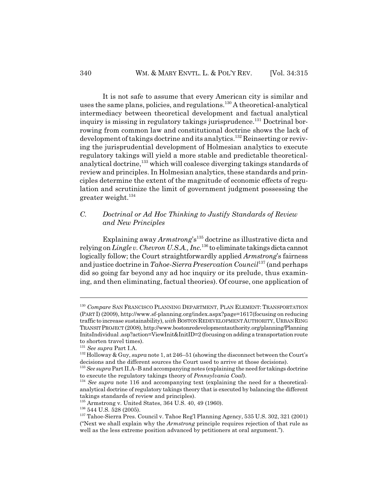It is not safe to assume that every American city is similar and uses the same plans, policies, and regulations.<sup>130</sup> A theoretical-analytical intermediacy between theoretical development and factual analytical inquiry is missing in regulatory takings jurisprudence.<sup>131</sup> Doctrinal borrowing from common law and constitutional doctrine shows the lack of development of takings doctrine and its analytics.<sup>132</sup> Reinserting or reviving the jurisprudential development of Holmesian analytics to execute regulatory takings will yield a more stable and predictable theoreticalanalytical doctrine,133 which will coalesce diverging takings standards of review and principles. In Holmesian analytics, these standards and principles determine the extent of the magnitude of economic effects of regulation and scrutinize the limit of government judgment possessing the greater weight. $134$ 

#### *C. Doctrinal or Ad Hoc Thinking to Justify Standards of Review and New Principles*

Explaining away *Armstrong*'s135 doctrine as illustrative dicta and relying on *Lingle v. Chevron U.S.A., Inc.*136 to eliminate takings dicta cannot logically follow; the Court straightforwardly applied *Armstrong*'s fairness and justice doctrine in *Tahoe-Sierra Preservation Council*137 (and perhaps did so going far beyond any ad hoc inquiry or its prelude, thus examining, and then eliminating, factual theories). Of course, one application of

<sup>&</sup>lt;sup>130</sup> Compare SAN FRANCISCO PLANNING DEPARTMENT, PLAN ELEMENT: TRANSPORTATION (PART I) (2009), http://www.sf-planning.org/index.aspx?page=1617(focusing on reducing traffic to increase sustainability), *with* BOSTON REDEVELOPMENT AUTHORITY, URBAN RING TRANSIT PROJECT (2008), http://www.bostonredevelopmentauthority.org/planning/Planning InitsIndividual .asp?action=ViewInit&InitID=2 (focusing on adding a transportation route to shorten travel times).

<sup>131</sup> *See supra* Part I.A.

<sup>132</sup> Holloway & Guy, *supra* note 1, at 246–51 (showing the disconnect between the Court's decisions and the different sources the Court used to arrive at those decisions).

<sup>133</sup> *See supra* Part II.A–B and accompanying notes (explaining the need for takings doctrine to execute the regulatory takings theory of *Pennsylvania Coal*).

<sup>134</sup> *See supra* note 116 and accompanying text (explaining the need for a theoreticalanalytical doctrine of regulatory takings theory that is executed by balancing the different takings standards of review and principles).

<sup>135</sup> Armstrong v. United States, 364 U.S. 40, 49 (1960).

 $136$  544 U.S. 528 (2005).

<sup>137</sup> Tahoe-Sierra Pres. Council v. Tahoe Reg'l Planning Agency, 535 U.S. 302, 321 (2001) ("Next we shall explain why the *Armstrong* principle requires rejection of that rule as well as the less extreme position advanced by petitioners at oral argument.").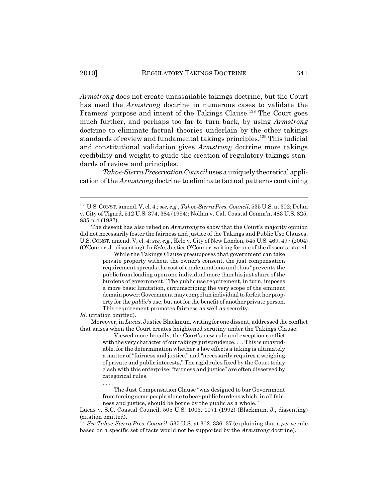*Armstrong* does not create unassailable takings doctrine, but the Court has used the *Armstrong* doctrine in numerous cases to validate the Framers' purpose and intent of the Takings Clause.<sup>138</sup> The Court goes much further, and perhaps too far to turn back, by using *Armstrong* doctrine to eliminate factual theories underlain by the other takings standards of review and fundamental takings principles.139 This judicial and constitutional validation gives *Armstrong* doctrine more takings credibility and weight to guide the creation of regulatory takings standards of review and principles.

*Tahoe-Sierra Preservation Council* uses a uniquely theoretical application of the *Armstrong* doctrine to eliminate factual patterns containing

While the Takings Clause presupposes that government can take private property without the owner's consent, the just compensation requirement spreads the cost of condemnations and thus "prevents the public from loading upon one individual more than his just share of the burdens of government." The public use requirement, in turn, imposes a more basic limitation, circumscribing the very scope of the eminent domain power: Government may compel an individual to forfeit her property for the *public's* use, but not for the benefit of another private person. This requirement promotes fairness as well as security.

*Id.* (citation omitted).

. . . .

Moreover, in *Lucas*, Justice Blackmun, writing for one dissent, addressed the conflict that arises when the Court creates heightened scrutiny under the Takings Clause:

Viewed more broadly, the Court's new rule and exception conflict with the very character of our takings jurisprudence. . . . This is unavoidable, for the determination whether a law effects a taking is ultimately a matter of "fairness and justice," and "necessarily requires a weighing of private and public interests," The rigid rules fixed by the Court today clash with this enterprise: "fairness and justice" are often disserved by categorical rules.

The Just Compensation Clause "was designed to bar Government from forcing some people alone to bear public burdens which, in all fairness and justice, should be borne by the public as a whole."

Lucas v. S.C. Coastal Council, 505 U.S. 1003, 1071 (1992) (Blackmun, J., dissenting) (citation omitted).

<sup>139</sup> *See Tahoe-Sierra Pres. Council*, 535 U.S. at 302, 336–37 (explaining that a *per se* rule based on a specific set of facts would not be supported by the *Armstrong* doctrine).

<sup>138</sup> U.S. CONST. amend. V, cl. 4.; *see, e.g.*, *Tahoe-Sierra Pres. Council*, 535 U.S. at 302; Dolan v. City of Tigard, 512 U.S. 374, 384 (1994); Nollan v. Cal. Coastal Comm'n, 483 U.S. 825, 835 n.4 (1987).

The dissent has also relied on *Armstrong* to show that the Court's majority opinion did not necessarily foster the fairness and justice of the Takings and Public Use Clauses, U.S. CONST. amend. V, cl. 4; *see, e.g.*, Kelo v. City of New London, 545 U.S. 469, 497 (2004) (O'Connor, J., dissenting). In *Kelo*, Justice O'Connor, writing for one of the dissents, stated: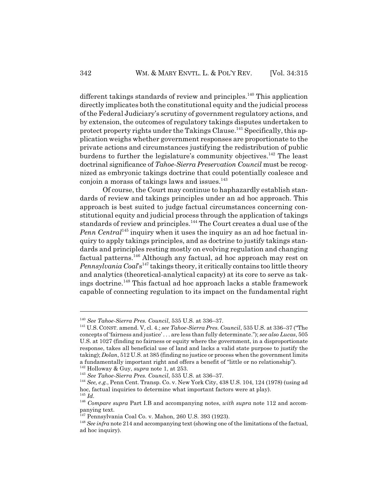different takings standards of review and principles.<sup>140</sup> This application directly implicates both the constitutional equity and the judicial process of the Federal Judiciary's scrutiny of government regulatory actions, and by extension, the outcomes of regulatory takings disputes undertaken to protect property rights under the Takings Clause.<sup>141</sup> Specifically, this application weighs whether government responses are proportionate to the private actions and circumstances justifying the redistribution of public burdens to further the legislature's community objectives.<sup>142</sup> The least doctrinal significance of *Tahoe-Sierra Preservation Council* must be recognized as embryonic takings doctrine that could potentially coalesce and conjoin a morass of takings laws and issues. $143$ 

Of course, the Court may continue to haphazardly establish standards of review and takings principles under an ad hoc approach. This approach is best suited to judge factual circumstances concerning constitutional equity and judicial process through the application of takings standards of review and principles.144 The Court creates a dual use of the *Penn Central*145 inquiry when it uses the inquiry as an ad hoc factual inquiry to apply takings principles, and as doctrine to justify takings standards and principles resting mostly on evolving regulation and changing factual patterns.<sup>146</sup> Although any factual, ad hoc approach may rest on *Pennsylvania Coal*'s<sup>147</sup> takings theory, it critically contains too little theory and analytics (theoretical-analytical capacity) at its core to serve as takings doctrine.148 This factual ad hoc approach lacks a stable framework capable of connecting regulation to its impact on the fundamental right

<sup>140</sup> *See Tahoe-Sierra Pres. Council*, 535 U.S. at 336–37.

<sup>141</sup> U.S. CONST. amend. V, cl. 4.; *see Tahoe-Sierra Pres. Council*, 535 U.S. at 336–37 ("The concepts of 'fairness and justice' . . . are less than fully determinate."); *see also Lucas*, 505 U.S. at 1027 (finding no fairness or equity where the government, in a disproportionate response, takes all beneficial use of land and lacks a valid state purpose to justify the taking); *Dolan*, 512 U.S. at 385 (finding no justice or process when the government limits a fundamentally important right and offers a benefit of "little or no relationship").

<sup>142</sup> Holloway & Guy, *supra* note 1, at 253.

<sup>143</sup> *See Tahoe-Sierra Pres. Council*, 535 U.S. at 336–37.

<sup>144</sup> *See, e.g.*, Penn Cent. Transp. Co. v. New York City, 438 U.S. 104, 124 (1978) (using ad hoc, factual inquiries to determine what important factors were at play).

<sup>145</sup> *Id.*

<sup>146</sup> *Compare supra* Part I.B and accompanying notes, *with supra* note 112 and accompanying text.

<sup>147</sup> Pennsylvania Coal Co. v. Mahon, 260 U.S. 393 (1923).

<sup>&</sup>lt;sup>148</sup> See infra note 214 and accompanying text (showing one of the limitations of the factual, ad hoc inquiry).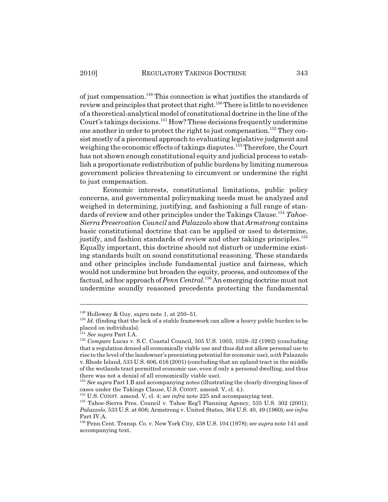of just compensation.149 This connection is what justifies the standards of review and principles that protect that right.<sup>150</sup> There is little to no evidence of a theoretical-analytical model of constitutional doctrine in the line of the Court's takings decisions.151 How? These decisions frequently undermine one another in order to protect the right to just compensation.<sup>152</sup> They consist mostly of a piecemeal approach to evaluating legislative judgment and weighing the economic effects of takings disputes.153 Therefore, the Court has not shown enough constitutional equity and judicial process to establish a proportionate redistribution of public burdens by limiting numerous government policies threatening to circumvent or undermine the right to just compensation.

Economic interests, constitutional limitations, public policy concerns, and governmental policymaking needs must be analyzed and weighed in determining, justifying, and fashioning a full range of standards of review and other principles under the Takings Clause.154 *Tahoe-Sierra Preservation Council* and *Palazzolo* show that *Armstrong* contains basic constitutional doctrine that can be applied or used to determine, justify, and fashion standards of review and other takings principles.<sup>155</sup> Equally important, this doctrine should not disturb or undermine existing standards built on sound constitutional reasoning. These standards and other principles include fundamental justice and fairness, which would not undermine but broaden the equity, process, and outcomes of the factual, ad hoc approach of *Penn Central*. 156 An emerging doctrine must not undermine soundly reasoned precedents protecting the fundamental

<sup>149</sup> Holloway & Guy, *supra* note 1, at 250–51.

 $150$  *Id.* (finding that the lack of a stable framework can allow a heavy public burden to be placed on individuals).

<sup>151</sup> *See supra* Part I.A.

<sup>152</sup> *Compare* Lucas v. S.C. Coastal Council, 505 U.S. 1003, 1028–32 (1992) (concluding that a regulation denied all economically viable use and thus did not allow personal use to rise to the level of the landowner's preexisting potential for economic use), *with* Palazzolo v. Rhode Island, 533 U.S. 606, 616 (2001) (concluding that an upland tract in the middle of the wetlands tract permitted economic use, even if only a personal dwelling, and thus there was not a denial of all economically viable use).

<sup>153</sup> *See supra* Part I.B and accompanying notes (illustrating the clearly diverging lines of cases under the Takings Clause, U.S. CONST. amend. V, cl. 4.).

<sup>154</sup> U.S. CONST. amend. V, cl. 4; *see infra* note 225 and accompanying text.

<sup>155</sup> Tahoe-Sierra Pres. Council v. Tahoe Reg'l Planning Agency, 535 U.S. 302 (2001); *Palazzolo*, 533 U.S. at 606; Armstrong v. United States, 364 U.S. 40, 49 (1960); *see infra* Part IV.A.

<sup>156</sup> Penn Cent. Transp. Co. v. New York City, 438 U.S. 104 (1978); *see supra* note 141 and accompanying text.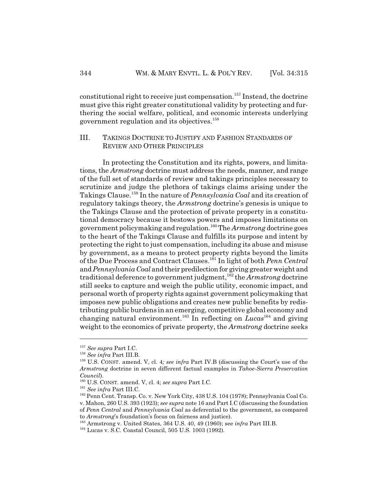constitutional right to receive just compensation.<sup>157</sup> Instead, the doctrine must give this right greater constitutional validity by protecting and furthering the social welfare, political, and economic interests underlying government regulation and its objectives.158

#### III. TAKINGS DOCTRINE TO JUSTIFY AND FASHION STANDARDS OF REVIEW AND OTHER PRINCIPLES

In protecting the Constitution and its rights, powers, and limitations, the *Armstrong* doctrine must address the needs, manner, and range of the full set of standards of review and takings principles necessary to scrutinize and judge the plethora of takings claims arising under the Takings Clause.159 In the nature of *Pennsylvania Coal* and its creation of regulatory takings theory, the *Armstrong* doctrine's genesis is unique to the Takings Clause and the protection of private property in a constitutional democracy because it bestows powers and imposes limitations on government policymaking and regulation.160 The *Armstrong* doctrine goes to the heart of the Takings Clause and fulfills its purpose and intent by protecting the right to just compensation, including its abuse and misuse by government, as a means to protect property rights beyond the limits of the Due Process and Contract Clauses.161 In light of both *Penn Central* and *Pennsylvania Coal* and their predilection for giving greater weight and traditional deference to government judgment,<sup>162</sup> the *Armstrong* doctrine still seeks to capture and weigh the public utility, economic impact, and personal worth of property rights against government policymaking that imposes new public obligations and creates new public benefits by redistributing public burdens in an emerging, competitive global economy and changing natural environment.<sup>163</sup> In reflecting on  $\tilde{L}ucas^{164}$  and giving weight to the economics of private property, the *Armstrong* doctrine seeks

<sup>157</sup> *See supra* Part I.C.

<sup>158</sup> *See infra* Part III.B.

<sup>&</sup>lt;sup>159</sup> U.S. CONST. amend. V, cl. 4*; see infra* Part IV.B (discussing the Court's use of the *Armstrong* doctrine in seven different factual examples in *Tahoe-Sierra Preservation Council*).

<sup>160</sup> U.S. CONST. amend. V, cl. 4; *see supra* Part I.C.

<sup>161</sup> *See infra* Part III.C.

<sup>162</sup> Penn Cent. Transp. Co. v. New York City, 438 U.S. 104 (1978); Pennsylvania Coal Co. v. Mahon, 260 U.S. 393 (1923); *see supra* note 16 and Part I.C (discussing the foundation of *Penn Central* and *Pennsylvania Coal* as deferential to the government, as compared

to *Armstrong*'s foundation's focus on fairness and justice).

<sup>163</sup> Armstrong v. United States, 364 U.S. 40, 49 (1960); see *infra* Part III.B.

<sup>164</sup> Lucas v. S.C. Coastal Council, 505 U.S. 1003 (1992).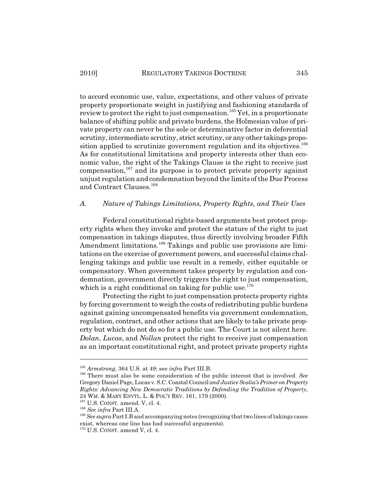to accord economic use, value, expectations, and other values of private property proportionate weight in justifying and fashioning standards of review to protect the right to just compensation.<sup>165</sup> Yet, in a proportionate balance of shifting public and private burdens, the Holmesian value of private property can never be the sole or determinative factor in deferential scrutiny, intermediate scrutiny, strict scrutiny, or any other takings proposition applied to scrutinize government regulation and its objectives.<sup>166</sup> As for constitutional limitations and property interests other than economic value, the right of the Takings Clause is the right to receive just compensation, $167$  and its purpose is to protect private property against unjust regulation and condemnation beyond the limits of the Due Process and Contract Clauses.<sup>168</sup>

#### *A. Nature of Takings Limitations, Property Rights, and Their Uses*

Federal constitutional rights-based arguments best protect property rights when they invoke and protect the stature of the right to just compensation in takings disputes, thus directly involving broader Fifth Amendment limitations.<sup>169</sup> Takings and public use provisions are limitations on the exercise of government powers, and successful claims challenging takings and public use result in a remedy, either equitable or compensatory. When government takes property by regulation and condemnation, government directly triggers the right to just compensation, which is a right conditional on taking for public use. $170$ 

Protecting the right to just compensation protects property rights by forcing government to weigh the costs of redistributing public burdens against gaining uncompensated benefits via government condemnation, regulation, contract, and other actions that are likely to take private property but which do not do so for a public use. The Court is not silent here. *Dolan*, *Lucas*, and *Nollan* protect the right to receive just compensation as an important constitutional right, and protect private property rights

<sup>165</sup> *Armstrong*, 364 U.S. at 49; see *infra* Part III.B.

<sup>166</sup> There must also be some consideration of the public interest that is involved. *See* Gregory Daniel Page, Lucas v. S.C. Coastal Council *and Justice Scalia's Primer on Property Rights: Advancing New Democratic Traditions by Defending the Tradition of Property*, 24 WM. & MARY ENVTL. L. & POL'Y REV. 161, 179 (2000).

<sup>167</sup> U.S. CONST. amend. V, cl. 4.

<sup>168</sup> *See infra* Part III.A.

<sup>&</sup>lt;sup>169</sup> See supra Part I.B and accompanying notes (recognizing that two lines of takings cases exist, whereas one line has had successful arguments).

<sup>&</sup>lt;sup>170</sup> U.S. CONST. amend V, cl. 4.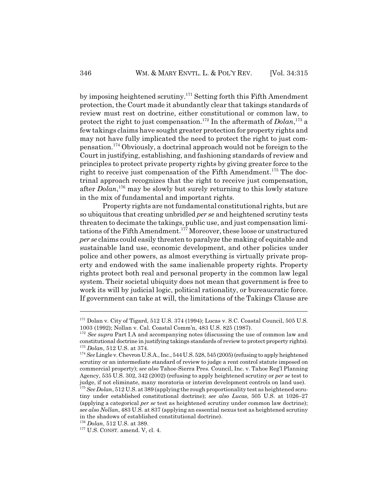by imposing heightened scrutiny.<sup>171</sup> Setting forth this Fifth Amendment protection, the Court made it abundantly clear that takings standards of review must rest on doctrine, either constitutional or common law, to protect the right to just compensation.172 In the aftermath of *Dolan*, 173 a few takings claims have sought greater protection for property rights and may not have fully implicated the need to protect the right to just compensation.174 Obviously, a doctrinal approach would not be foreign to the Court in justifying, establishing, and fashioning standards of review and principles to protect private property rights by giving greater force to the right to receive just compensation of the Fifth Amendment.<sup>175</sup> The doctrinal approach recognizes that the right to receive just compensation, after *Dolan*, 176 may be slowly but surely returning to this lowly stature in the mix of fundamental and important rights.

Property rights are not fundamental constitutional rights, but are so ubiquitous that creating unbridled *per se* and heightened scrutiny tests threaten to decimate the takings, public use, and just compensation limitations of the Fifth Amendment.<sup>177</sup> Moreover, these loose or unstructured *per se* claims could easily threaten to paralyze the making of equitable and sustainable land use, economic development, and other policies under police and other powers, as almost everything is virtually private property and endowed with the same inalienable property rights. Property rights protect both real and personal property in the common law legal system. Their societal ubiquity does not mean that government is free to work its will by judicial logic, political rationality, or bureaucratic force. If government can take at will, the limitations of the Takings Clause are

 $171$  Dolan v. City of Tigard,  $512$  U.S.  $374$  (1994); Lucas v. S.C. Coastal Council,  $505$  U.S. 1003 (1992); Nollan v. Cal. Coastal Comm'n, 483 U.S. 825 (1987).

<sup>&</sup>lt;sup>172</sup> See supra Part I.A and accompanying notes (discussing the use of common law and constitutional doctrine in justifying takings standards of review to protect property rights). <sup>173</sup> *Dolan*, 512 U.S. at 374.

<sup>174</sup>*See* Lingle v. Chevron U.S.A., Inc., 544 U.S. 528, 545 (2005) (refusing to apply heightened scrutiny or an intermediate standard of review to judge a rent control statute imposed on commercial property); *see also* Tahoe-Sierra Pres. Council, Inc. v. Tahoe Reg'l Planning Agency, 535 U.S. 302, 342 (2002) (refusing to apply heightened scrutiny or *per se* test to judge, if not eliminate, many moratoria or interim development controls on land use).

<sup>175</sup> *See Dolan*, 512 U.S. at 389 (applying the rough proportionality test as heightened scrutiny under established constitutional doctrine); *see also Lucas*, 505 U.S. at 1026–27 (applying a categorical *per se* test as heightened scrutiny under common law doctrine); *see also Nollan*, 483 U.S. at 837 (applying an essential nexus test as heightened scrutiny in the shadows of established constitutional doctrine).

<sup>176</sup> *Dolan*, 512 U.S. at 389.

 $177$  U.S. CONST. amend. V, cl. 4.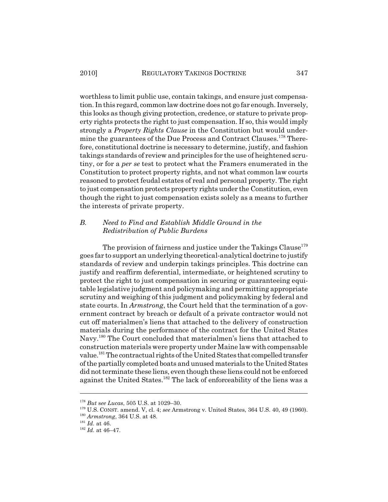worthless to limit public use, contain takings, and ensure just compensation. In this regard, common law doctrine does not go far enough. Inversely, this looks as though giving protection, credence, or stature to private property rights protects the right to just compensation. If so, this would imply strongly a *Property Rights Clause* in the Constitution but would undermine the guarantees of the Due Process and Contract Clauses.<sup>178</sup> Therefore, constitutional doctrine is necessary to determine, justify, and fashion takings standards of review and principles for the use of heightened scrutiny, or for a *per se* test to protect what the Framers enumerated in the Constitution to protect property rights, and not what common law courts reasoned to protect feudal estates of real and personal property. The right to just compensation protects property rights under the Constitution, even though the right to just compensation exists solely as a means to further the interests of private property.

#### *B. Need to Find and Establish Middle Ground in the Redistribution of Public Burdens*

The provision of fairness and justice under the Takings Clause<sup>179</sup> goes far to support an underlying theoretical-analytical doctrine to justify standards of review and underpin takings principles. This doctrine can justify and reaffirm deferential, intermediate, or heightened scrutiny to protect the right to just compensation in securing or guaranteeing equitable legislative judgment and policymaking and permitting appropriate scrutiny and weighing of this judgment and policymaking by federal and state courts. In *Armstrong*, the Court held that the termination of a government contract by breach or default of a private contractor would not cut off materialmen's liens that attached to the delivery of construction materials during the performance of the contract for the United States Navy.180 The Court concluded that materialmen's liens that attached to construction materials were property under Maine law with compensable value.<sup>181</sup> The contractual rights of the United States that compelled transfer of the partially completed boats and unused materials to the United States did not terminate these liens, even though these liens could not be enforced against the United States.<sup>182</sup> The lack of enforceability of the liens was a

<sup>178</sup> *But* s*ee Lucas*, 505 U.S. at 1029–30.

<sup>179</sup> U.S. CONST. amend. V, cl. 4; *see* Armstrong v. United States, 364 U.S. 40, 49 (1960).

<sup>180</sup> *Armstrong*, 364 U.S. at 48.

 $181$  *Id.* at 46.

 $^{182}$   $Id.$  at 46–47.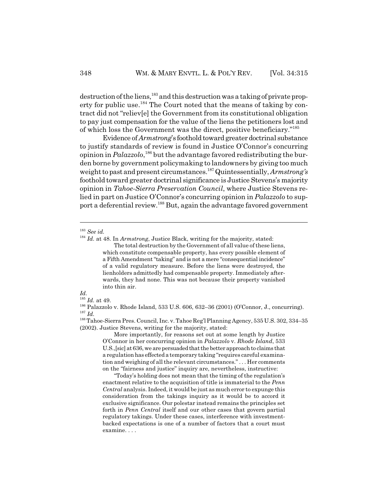destruction of the liens,<sup>183</sup> and this destruction was a taking of private property for public use.<sup>184</sup> The Court noted that the means of taking by contract did not "reliev[e] the Government from its constitutional obligation to pay just compensation for the value of the liens the petitioners lost and of which loss the Government was the direct, positive beneficiary."185

Evidence of *Armstrong*'s foothold toward greater doctrinal substance to justify standards of review is found in Justice O'Connor's concurring opinion in *Palazzolo*, 186 but the advantage favored redistributing the burden borne by government policymaking to landowners by giving too much weight to past and present circumstances.187 Quintessentially, *Armstrong's* foothold toward greater doctrinal significance is Justice Stevens's majority opinion in *Tahoe-Sierra Preservation Council*, where Justice Stevens relied in part on Justice O'Connor's concurring opinion in *Palazzolo* to support a deferential review.188 But, again the advantage favored government

*Id.*

188 Tahoe-Sierra Pres. Council, Inc. v. Tahoe Reg'l Planning Agency, 535 U.S. 302, 334–35 (2002). Justice Stevens, writing for the majority, stated:

> More importantly, for reasons set out at some length by Justice O'Connor in her concurring opinion in *Palazzolo* v. *Rhode Island*, 533 U.S.,[sic] at 636, we are persuaded that the better approach to claims that a regulation has effected a temporary taking "requires careful examination and weighing of all the relevant circumstances." . . . Her comments on the "fairness and justice" inquiry are, nevertheless, instructive:

> "Today's holding does not mean that the timing of the regulation's enactment relative to the acquisition of title is immaterial to the *Penn Central* analysis. Indeed, it would be just as much error to expunge this consideration from the takings inquiry as it would be to accord it exclusive significance. Our polestar instead remains the principles set forth in *Penn Central* itself and our other cases that govern partial regulatory takings. Under these cases, interference with investmentbacked expectations is one of a number of factors that a court must examine. . . .

<sup>183</sup> *See id.*

<sup>184</sup> *Id.* at 48. In *Armstrong*, Justice Black, writing for the majority, stated: The total destruction by the Government of all value of these liens, which constitute compensable property, has every possible element of a Fifth Amendment "taking" and is not a mere "consequential incidence" of a valid regulatory measure. Before the liens were destroyed, the lienholders admittedly had compensable property. Immediately afterwards, they had none. This was not because their property vanished into thin air.

<sup>185</sup> *Id.* at 49.

 $186$  Palazzolo v. Rhode Island, 533 U.S. 606, 632-36 (2001) (O'Connor, J., concurring). <sup>187</sup> *Id.*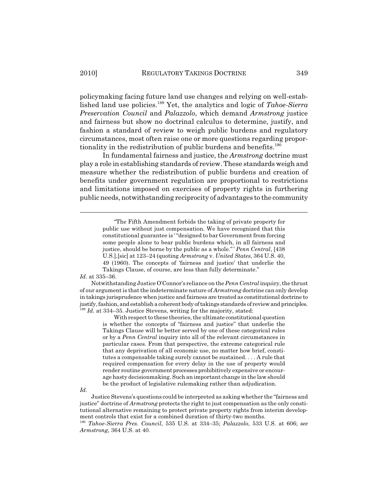policymaking facing future land use changes and relying on well-established land use policies.189 Yet, the analytics and logic of *Tahoe-Sierra Preservation Council* and *Palazzolo*, which demand *Armstrong* justice and fairness but show no doctrinal calculus to determine, justify, and fashion a standard of review to weigh public burdens and regulatory circumstances, most often raise one or more questions regarding proportionality in the redistribution of public burdens and benefits.<sup>190</sup>

In fundamental fairness and justice, the *Armstrong* doctrine must play a role in establishing standards of review. These standards weigh and measure whether the redistribution of public burdens and creation of benefits under government regulation are proportional to restrictions and limitations imposed on exercises of property rights in furthering public needs, notwithstanding reciprocity of advantages to the community

#### *Id.* at 335–36.

Notwithstanding Justice O'Connor's reliance on the *Penn Central* inquiry, the thrust of our argument is that the indeterminate nature of *Armstrong* doctrine can only develop in takings jurisprudence when justice and fairness are treated as constitutional doctrine to justify, fashion, and establish a coherent body of takings standards of review and principles. <sup>189</sup> *Id.* at 334–35. Justice Stevens, writing for the majority, stated:

With respect to these theories, the ultimate constitutional question is whether the concepts of "fairness and justice" that underlie the Takings Clause will be better served by one of these categorical rules or by a *Penn Central* inquiry into all of the relevant circumstances in particular cases. From that perspective, the extreme categorical rule that any deprivation of all economic use, no matter how brief, constitutes a compensable taking surely cannot be sustained. . . . A rule that required compensation for every delay in the use of property would render routine government processes prohibitively expensive or encourage hasty decisionmaking. Such an important change in the law should be the product of legislative rulemaking rather than adjudication.

*Id.*

Justice Stevens's questions could be interpreted as asking whether the "fairness and justice" doctrine of *Armstrong* protects the right to just compensation as the only constitutional alternative remaining to protect private property rights from interim development controls that exist for a combined duration of thirty-two months.

<sup>190</sup> *Tahoe-Sierra Pres. Council*, 535 U.S. at 334–35; *Palazzolo*, 533 U.S. at 606; *see Armstrong*, 364 U.S. at 40.

<sup>&</sup>quot;The Fifth Amendment forbids the taking of private property for public use without just compensation. We have recognized that this constitutional guarantee is ' "designed to bar Government from forcing some people alone to bear public burdens which, in all fairness and justice, should be borne by the public as a whole." ' *Penn Central*, [438 U.S.],[sic] at 123–24 (quoting *Armstrong* v. *United States*, 364 U.S. 40, 49 (1960). The concepts of 'fairness and justice' that underlie the Takings Clause, of course, are less than fully determinate."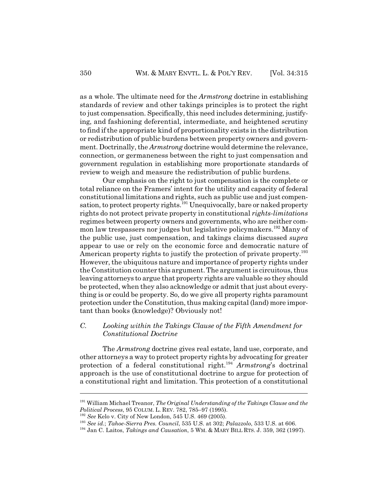as a whole. The ultimate need for the *Armstrong* doctrine in establishing standards of review and other takings principles is to protect the right to just compensation. Specifically, this need includes determining, justifying, and fashioning deferential, intermediate, and heightened scrutiny to find if the appropriate kind of proportionality exists in the distribution or redistribution of public burdens between property owners and government. Doctrinally, the *Armstrong* doctrine would determine the relevance, connection, or germaneness between the right to just compensation and government regulation in establishing more proportionate standards of review to weigh and measure the redistribution of public burdens.

Our emphasis on the right to just compensation is the complete or total reliance on the Framers' intent for the utility and capacity of federal constitutional limitations and rights, such as public use and just compensation, to protect property rights.<sup>191</sup> Unequivocally, bare or naked property rights do not protect private property in constitutional *rights-limitations* regimes between property owners and governments, who are neither common law trespassers nor judges but legislative policymakers.<sup>192</sup> Many of the public use, just compensation, and takings claims discussed *supra* appear to use or rely on the economic force and democratic nature of American property rights to justify the protection of private property.<sup>193</sup> However, the ubiquitous nature and importance of property rights under the Constitution counter this argument. The argument is circuitous, thus leaving attorneys to argue that property rights are valuable so they should be protected, when they also acknowledge or admit that just about everything is or could be property. So, do we give all property rights paramount protection under the Constitution, thus making capital (land) more important than books (knowledge)? Obviously not!

#### *C. Looking within the Takings Clause of the Fifth Amendment for Constitutional Doctrine*

The *Armstrong* doctrine gives real estate, land use, corporate, and other attorneys a way to protect property rights by advocating for greater protection of a federal constitutional right.<sup>194</sup> *Armstrong*'s doctrinal approach is the use of constitutional doctrine to argue for protection of a constitutional right and limitation. This protection of a constitutional

<sup>191</sup> William Michael Treanor, *The Original Understanding of the Takings Clause and the Political Process*, 95 COLUM. L. REV. 782, 785–97 (1995).

<sup>192</sup> *See* Kelo v. City of New London, 545 U.S. 469 (2005).

<sup>193</sup> *See id.*; *Tahoe-Sierra Pres. Council*, 535 U.S. at 302; *Palazzolo*, 533 U.S. at 606.

<sup>194</sup> Jan C. Laitos, *Takings and Causation*, 5 WM. & MARY BILL RTS. J. 359, 362 (1997).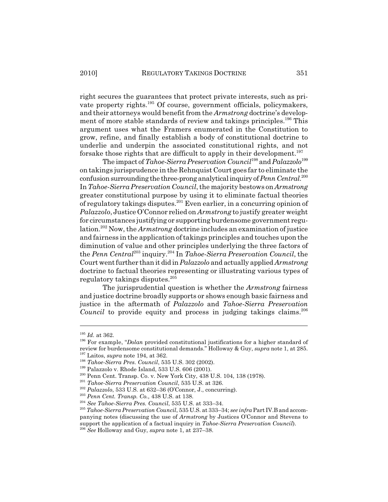right secures the guarantees that protect private interests, such as private property rights.<sup>195</sup> Of course, government officials, policymakers, and their attorneys would benefit from the *Armstrong* doctrine's development of more stable standards of review and takings principles.<sup>196</sup> This argument uses what the Framers enumerated in the Constitution to grow, refine, and finally establish a body of constitutional doctrine to underlie and underpin the associated constitutional rights, and not forsake those rights that are difficult to apply in their development.<sup>197</sup>

The impact of *Tahoe-Sierra Preservation Council*198 and *Palazzolo*<sup>199</sup> on takings jurisprudence in the Rehnquist Court goes far to eliminate the confusion surrounding the three-prong analytical inquiry of *Penn Central*. 200 In *Tahoe-Sierra Preservation Council*, the majority bestows on *Armstrong* greater constitutional purpose by using it to eliminate factual theories of regulatory takings disputes.201 Even earlier, in a concurring opinion of *Palazzolo*, Justice O'Connor relied on *Armstrong* to justify greater weight for circumstances justifying or supporting burdensome government regulation.202 Now, the *Armstrong* doctrine includes an examination of justice and fairness in the application of takings principles and touches upon the diminution of value and other principles underlying the three factors of the *Penn Central*203 inquiry.204 In *Tahoe-Sierra Preservation Council*, the Court went further than it did in *Palazzolo* and actually applied *Armstrong* doctrine to factual theories representing or illustrating various types of regulatory takings disputes.<sup>205</sup>

The jurisprudential question is whether the *Armstrong* fairness and justice doctrine broadly supports or shows enough basic fairness and justice in the aftermath of *Palazzolo* and *Tahoe-Sierra Preservation Council* to provide equity and process in judging takings claims.<sup>206</sup>

<sup>195</sup> *Id.* at 362.

<sup>196</sup> For example, "*Dolan* provided constitutional justifications for a higher standard of review for burdensome constitutional demands." Holloway & Guy, *supra* note 1, at 285. 197 Laitos, *supra* note 194, at 362.

<sup>198</sup> *Tahoe-Sierra Pres. Council*, 535 U.S. 302 (2002).

<sup>199</sup> Palazzolo v. Rhode Island, 533 U.S. 606 (2001).

<sup>200</sup> Penn Cent. Transp. Co. v. New York City, 438 U.S. 104, 138 (1978).

<sup>201</sup> *Tahoe-Sierra Preservation Council*, 535 U.S. at 326.

<sup>202</sup> *Palazzolo*, 533 U.S. at 632–36 (O'Connor, J., concurring).

<sup>203</sup> *Penn Cent. Transp. Co.*, 438 U.S. at 138.

<sup>204</sup> *See Tahoe-Sierra Pres. Council*, 535 U.S. at 333–34.

<sup>205</sup> *Tahoe-Sierra Preservation Council*, 535 U.S. at 333–34; *see infra* Part IV.B and accompanying notes (discussing the use of *Armstrong* by Justices O'Connor and Stevens to support the application of a factual inquiry in *Tahoe-Sierra Preservation Council*).

<sup>206</sup> *See* Holloway and Guy, *supra* note 1, at 237–38.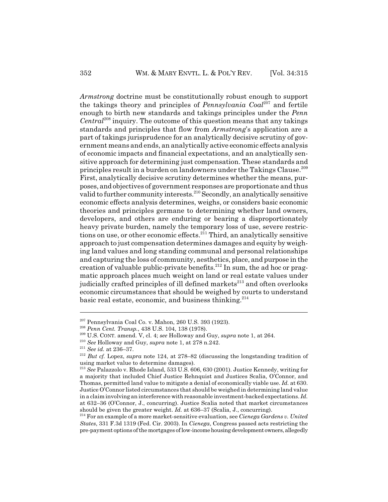*Armstrong* doctrine must be constitutionally robust enough to support the takings theory and principles of *Pennsylvania Coal*207 and fertile enough to birth new standards and takings principles under the *Penn Central*208 inquiry. The outcome of this question means that any takings standards and principles that flow from *Armstrong*'s application are a part of takings jurisprudence for an analytically decisive scrutiny of government means and ends, an analytically active economic effects analysis of economic impacts and financial expectations, and an analytically sensitive approach for determining just compensation. These standards and principles result in a burden on landowners under the Takings Clause.209 First, analytically decisive scrutiny determines whether the means, purposes, and objectives of government responses are proportionate and thus valid to further community interests.210 Secondly, an analytically sensitive economic effects analysis determines, weighs, or considers basic economic theories and principles germane to determining whether land owners, developers, and others are enduring or bearing a disproportionately heavy private burden, namely the temporary loss of use, severe restrictions on use, or other economic effects.<sup>211</sup> Third, an analytically sensitive approach to just compensation determines damages and equity by weighing land values and long standing communal and personal relationships and capturing the loss of community, aesthetics, place, and purpose in the creation of valuable public-private benefits.212 In sum, the ad hoc or pragmatic approach places much weight on land or real estate values under judicially crafted principles of ill defined markets $^{213}$  and often overlooks economic circumstances that should be weighed by courts to understand basic real estate, economic, and business thinking.<sup>214</sup>

 $207$  Pennsylvania Coal Co. v. Mahon, 260 U.S. 393 (1923).

<sup>208</sup> *Penn Cent. Transp.*, 438 U.S. 104, 138 (1978).

<sup>209</sup> U.S. CONT. amend. V, cl. 4; *see* Holloway and Guy, *supra* note 1, at 264.

<sup>210</sup> *See* Holloway and Guy, *supra* note 1, at 278 n.242.

<sup>211</sup> *See id.* at 236–37.

<sup>212</sup> *But cf.* Lopez, *supra* note 124, at 278–82 (discussing the longstanding tradition of using market value to determine damages).

<sup>213</sup> *See* Palazzolo v. Rhode Island, 533 U.S. 606, 630 (2001). Justice Kennedy, writing for a majority that included Chief Justice Rehnquist and Justices Scalia, O'Connor, and Thomas, permitted land value to mitigate a denial of economically viable use. *Id.* at 630. Justice O'Connor listed circumstances that should be weighed in determining land value in a claim involving an interference with reasonable investment-backed expectations. *Id.* at 632–36 (O'Connor, J., concurring). Justice Scalia noted that market circumstances should be given the greater weight. *Id.* at 636–37 (Scalia, J., concurring).

<sup>214</sup> For an example of a more market-sensitive evaluation, see *Cienega Gardens v. United States*, 331 F.3d 1319 (Fed. Cir. 2003). In *Cienega*, Congress passed acts restricting the pre-payment options of the mortgages of low-income housing development owners, allegedly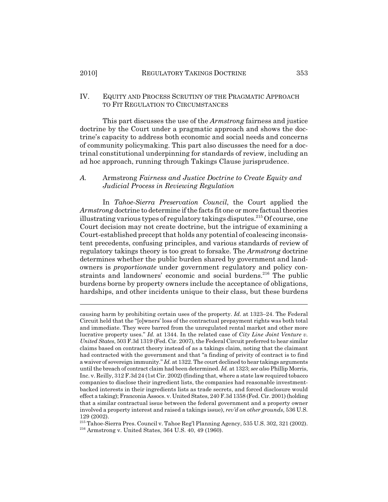#### 2010] REGULATORY TAKINGS DOCTRINE 353

#### IV. EQUITY AND PROCESS SCRUTINY OF THE PRAGMATIC APPROACH TO FIT REGULATION TO CIRCUMSTANCES

This part discusses the use of the *Armstrong* fairness and justice doctrine by the Court under a pragmatic approach and shows the doctrine's capacity to address both economic and social needs and concerns of community policymaking. This part also discusses the need for a doctrinal constitutional underpinning for standards of review, including an ad hoc approach, running through Takings Clause jurisprudence.

#### *A.* Armstrong *Fairness and Justice Doctrine to Create Equity and Judicial Process in Reviewing Regulation*

In *Tahoe-Sierra Preservation Council*, the Court applied the *Armstrong* doctrine to determine if the facts fit one or more factual theories illustrating various types of regulatory takings disputes.<sup>215</sup> Of course, one Court decision may not create doctrine, but the intrigue of examining a Court-established precept that holds any potential of coalescing inconsistent precedents, confusing principles, and various standards of review of regulatory takings theory is too great to forsake. The *Armstrong* doctrine determines whether the public burden shared by government and landowners is *proportionate* under government regulatory and policy constraints and landowners' economic and social burdens.<sup>216</sup> The public burdens borne by property owners include the acceptance of obligations, hardships, and other incidents unique to their class, but these burdens

causing harm by prohibiting certain uses of the property. *Id.* at 1323–24. The Federal Circuit held that the "[o]wners' loss of the contractual prepayment rights was both total and immediate. They were barred from the unregulated rental market and other more lucrative property uses." *Id.* at 1344. In the related case of *City Line Joint Venture v. United States*, 503 F.3d 1319 (Fed. Cir. 2007), the Federal Circuit preferred to hear similar claims based on contract theory instead of as a takings claim, noting that the claimant had contracted with the government and that "a finding of privity of contract is to find a waiver of sovereign immunity." *Id.* at 1322. The court declined to hear takings arguments until the breach of contract claim had been determined. *Id.* at 1323; *see also* Phillip Morris, Inc. v. Reilly, 312 F.3d 24 (1st Cir. 2002) (finding that, where a state law required tobacco companies to disclose their ingredient lists, the companies had reasonable investmentbacked interests in their ingredients lists as trade secrets, and forced disclosure would effect a taking); Franconia Assocs. v. United States, 240 F.3d 1358 (Fed. Cir. 2001) (holding that a similar contractual issue between the federal government and a property owner involved a property interest and raised a takings issue), *rev'd on other grounds*, 536 U.S. 129 (2002).

<sup>215</sup> Tahoe-Sierra Pres. Council v. Tahoe Reg'l Planning Agency, 535 U.S. 302, 321 (2002).  $216$  Armstrong v. United States, 364 U.S. 40, 49 (1960).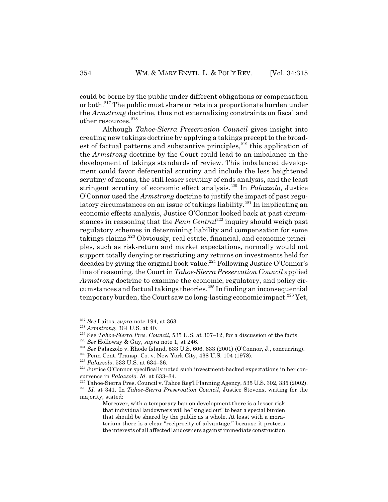could be borne by the public under different obligations or compensation or both.217 The public must share or retain a proportionate burden under the *Armstrong* doctrine, thus not externalizing constraints on fiscal and other resources.<sup>218</sup>

Although *Tahoe-Sierra Preservation Council* gives insight into creating new takings doctrine by applying a takings precept to the broadest of factual patterns and substantive principles, $2^{19}$  this application of the *Armstrong* doctrine by the Court could lead to an imbalance in the development of takings standards of review. This imbalanced development could favor deferential scrutiny and include the less heightened scrutiny of means, the still lesser scrutiny of ends analysis, and the least stringent scrutiny of economic effect analysis.220 In *Palazzolo*, Justice O'Connor used the *Armstrong* doctrine to justify the impact of past regulatory circumstances on an issue of takings liability.<sup>221</sup> In implicating an economic effects analysis, Justice O'Connor looked back at past circumstances in reasoning that the *Penn Central*<sup>222</sup> inquiry should weigh past regulatory schemes in determining liability and compensation for some takings claims.<sup>223</sup> Obviously, real estate, financial, and economic principles, such as risk-return and market expectations, normally would not support totally denying or restricting any returns on investments held for decades by giving the original book value.224 Following Justice O'Connor's line of reasoning, the Court in *Tahoe-Sierra Preservation Council* applied *Armstrong* doctrine to examine the economic, regulatory, and policy circumstances and factual takings theories.225 In finding an inconsequential temporary burden, the Court saw no long-lasting economic impact.<sup>226</sup> Yet,

<sup>217</sup> *See* Laitos, *supra* note 194, at 363.

<sup>218</sup> *Armstrong*, 364 U.S. at 40.

<sup>&</sup>lt;sup>219</sup> See *Tahoe-Sierra Pres. Council*, 535 U.S. at 307–12, for a discussion of the facts.

<sup>220</sup> *See* Holloway & Guy, *supra* note 1, at 246.

<sup>&</sup>lt;sup>221</sup> *See* Palazzolo v. Rhode Island, 533 U.S. 606, 633 (2001) (O'Connor, J., concurring).

 $222$  Penn Cent. Transp. Co. v. New York City,  $438$  U.S. 104 (1978).

<sup>223</sup> *Palazzolo*, 533 U.S. at 634–36.

 $^{224}$  Justice O'Connor specifically noted such investment-backed expectations in her concurrence in *Palazzolo*. *Id.* at 633–34.

 $^{225}$  Tahoe-Sierra Pres. Council v. Tahoe Reg'l Planning Agency, 535 U.S. 302, 335 (2002). <sup>226</sup> *Id.* at 341. In *Tahoe-Sierra Preservation Council*, Justice Stevens, writing for the majority, stated:

Moreover, with a temporary ban on development there is a lesser risk that individual landowners will be "singled out" to bear a special burden that should be shared by the public as a whole. At least with a moratorium there is a clear "reciprocity of advantage," because it protects the interests of all affected landowners against immediate construction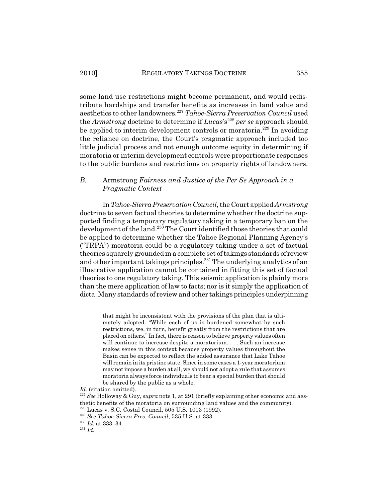some land use restrictions might become permanent, and would redistribute hardships and transfer benefits as increases in land value and aesthetics to other landowners.227 *Tahoe-Sierra Preservation Council* used the *Armstrong* doctrine to determine if *Lucas*'s<sup>228</sup> *per se* approach should be applied to interim development controls or moratoria.<sup>229</sup> In avoiding the reliance on doctrine, the Court's pragmatic approach included too little judicial process and not enough outcome equity in determining if moratoria or interim development controls were proportionate responses to the public burdens and restrictions on property rights of landowners.

#### *B.* Armstrong *Fairness and Justice of the Per Se Approach in a Pragmatic Context*

In *Tahoe-Sierra Preservation Council*, the Court applied *Armstrong* doctrine to seven factual theories to determine whether the doctrine supported finding a temporary regulatory taking in a temporary ban on the development of the land.<sup>230</sup> The Court identified those theories that could be applied to determine whether the Tahoe Regional Planning Agency's ("TRPA") moratoria could be a regulatory taking under a set of factual theories squarely grounded in a complete set of takings standards of review and other important takings principles.<sup>231</sup> The underlying analytics of an illustrative application cannot be contained in fitting this set of factual theories to one regulatory taking. This seismic application is plainly more than the mere application of law to facts; nor is it simply the application of dicta. Many standards of review and other takings principles underpinning

> that might be inconsistent with the provisions of the plan that is ultimately adopted. "While each of us is burdened somewhat by such restrictions, we, in turn, benefit greatly from the restrictions that are placed on others." In fact, there is reason to believe property values often will continue to increase despite a moratorium.... Such an increase makes sense in this context because property values throughout the Basin can be expected to reflect the added assurance that Lake Tahoe will remain in its pristine state. Since in some cases a 1-year moratorium may not impose a burden at all, we should not adopt a rule that assumes moratoria always force individuals to bear a special burden that should be shared by the public as a whole.

*Id.* (citation omitted).

<sup>227</sup> *See* Holloway & Guy, *supra* note 1, at 291 (briefly explaining other economic and aesthetic benefits of the moratoria on surrounding land values and the community). 228 Lucas v. S.C. Costal Council, 505 U.S. 1003 (1992).

<sup>229</sup> *See Tahoe-Sierra Pres. Council*, 535 U.S. at 333.

<sup>230</sup> *Id*. at 333–34.

<sup>231</sup> *Id.*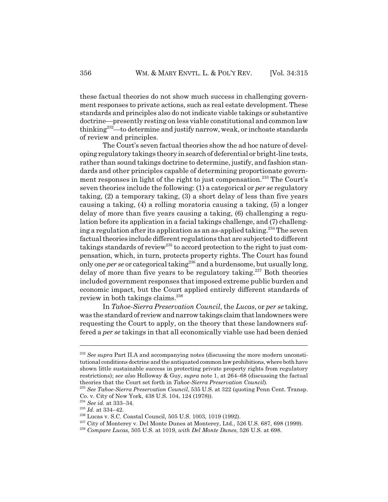these factual theories do not show much success in challenging government responses to private actions, such as real estate development. These standards and principles also do not indicate viable takings or substantive doctrine—presently resting on less viable constitutional and common law thinking<sup>232</sup>—to determine and justify narrow, weak, or inchoate standards of review and principles.

The Court's seven factual theories show the ad hoc nature of developing regulatory takings theory in search of deferential or bright-line tests, rather than sound takings doctrine to determine, justify, and fashion standards and other principles capable of determining proportionate government responses in light of the right to just compensation.<sup>233</sup> The Court's seven theories include the following: (1) a categorical or *per se* regulatory taking, (2) a temporary taking, (3) a short delay of less than five years causing a taking, (4) a rolling moratoria causing a taking, (5) a longer delay of more than five years causing a taking, (6) challenging a regulation before its application in a facial takings challenge, and (7) challenging a regulation after its application as an as-applied taking.<sup>234</sup> The seven factual theories include different regulations that are subjected to different takings standards of review<sup>235</sup> to accord protection to the right to just compensation, which, in turn, protects property rights. The Court has found only one *per se* or categorical taking<sup>236</sup> and a burdensome, but usually long, delay of more than five years to be regulatory taking.<sup>237</sup> Both theories included government responses that imposed extreme public burden and economic impact, but the Court applied entirely different standards of review in both takings claims.<sup>238</sup>

In *Tahoe-Sierra Preservation Council*, the *Lucas*, or *per se* taking, was the standard of review and narrow takings claim that landowners were requesting the Court to apply, on the theory that these landowners suffered a *per se* takings in that all economically viable use had been denied

<sup>232</sup> *See supra* Part II.A and accompanying notes (discussing the more modern unconstitutional conditions doctrine and the antiquated common law prohibitions, where both have shown little sustainable success in protecting private property rights from regulatory restrictions); *see also* Holloway & Guy, *supra* note 1, at 264–68 (discussing the factual theories that the Court set forth in *Tahoe-Sierra Preservation Council*).

<sup>233</sup> *See Tahoe-Sierra Preservation Council*, 535 U.S. at 322 (quoting Penn Cent. Transp. Co. v. City of New York, 438 U.S. 104, 124 (1978)).

<sup>234</sup> *See id.* at 333–34.

<sup>235</sup> *Id.* at 334–42.

<sup>236</sup> Lucas v. S.C. Coastal Council, 505 U.S. 1003, 1019 (1992).

 $^{237}$  City of Monterey v. Del Monte Dunes at Monterey, Ltd., 526 U.S. 687, 698 (1999).

<sup>238</sup> *Compare Lucas*, 505 U.S. at 1019, *with Del Monte Dunes*, 526 U.S. at 698.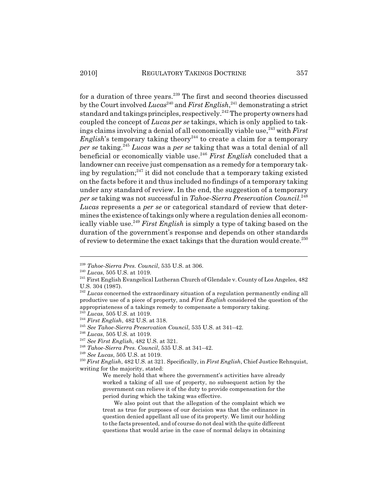for a duration of three years.239 The first and second theories discussed by the Court involved *Lucas*240 and *First English*, 241 demonstrating a strict standard and takings principles, respectively.<sup>242</sup> The property owners had coupled the concept of *Lucas per se* takings, which is only applied to takings claims involving a denial of all economically viable use,243 with *First*  $English's temporary taking theory<sup>244</sup> to create a claim for a temporary$ *per se* taking.245 *Lucas* was a *per se* taking that was a total denial of all beneficial or economically viable use.<sup>246</sup> *First English* concluded that a landowner can receive just compensation as a remedy for a temporary taking by regulation;<sup>247</sup> it did not conclude that a temporary taking existed on the facts before it and thus included no findings of a temporary taking under any standard of review. In the end, the suggestion of a temporary *per se* taking was not successful in *Tahoe-Sierra Preservation Council*. 248 *Lucas* represents a *per se* or categorical standard of review that determines the existence of takings only where a regulation denies all economically viable use.249 *First English* is simply a type of taking based on the duration of the government's response and depends on other standards of review to determine the exact takings that the duration would create.<sup>250</sup>

<sup>239</sup> *Tahoe-Sierra Pres. Council*, 535 U.S. at 306.

<sup>240</sup> *Lucas*, 505 U.S. at 1019.

<sup>&</sup>lt;sup>241</sup> First English Evangelical Lutheran Church of Glendale v. County of Los Angeles, 482 U.S. 304 (1987).

<sup>&</sup>lt;sup>242</sup> Lucas concerned the extraordinary situation of a regulation permanently ending all productive use of a piece of property, and *First English* considered the question of the appropriateness of a takings remedy to compensate a temporary taking.

<sup>243</sup> *Lucas*, 505 U.S. at 1019.

<sup>244</sup> *First English*, 482 U.S. at 318.

<sup>245</sup> *See Tahoe-Sierra Preservation Council*, 535 U.S. at 341–42.

<sup>246</sup> *Lucas*, 505 U.S. at 1019.

<sup>247</sup> *See First English*, 482 U.S. at 321.

<sup>248</sup> *Tahoe-Sierra Pres. Council*, 535 U.S. at 341–42.

<sup>249</sup> *See Lucas*, 505 U.S. at 1019.

<sup>250</sup> *First English*, 482 U.S. at 321. Specifically, in *First English*, Chief Justice Rehnquist, writing for the majority, stated:

We merely hold that where the government's activities have already worked a taking of all use of property, no subsequent action by the government can relieve it of the duty to provide compensation for the period during which the taking was effective.

We also point out that the allegation of the complaint which we treat as true for purposes of our decision was that the ordinance in question denied appellant all use of its property. We limit our holding to the facts presented, and of course do not deal with the quite different questions that would arise in the case of normal delays in obtaining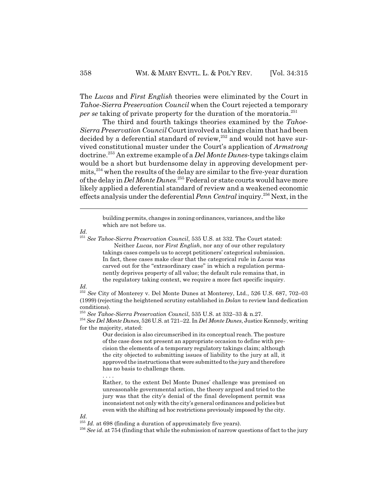The *Lucas* and *First English* theories were eliminated by the Court in *Tahoe-Sierra Preservation Council* when the Court rejected a temporary *per se* taking of private property for the duration of the moratoria.<sup>251</sup>

The third and fourth takings theories examined by the *Tahoe-Sierra Preservation Council* Court involved a takings claim that had been decided by a deferential standard of review,<sup>252</sup> and would not have survived constitutional muster under the Court's application of *Armstrong* doctrine.253 An extreme example of a *Del Monte Dunes*-type takings claim would be a short but burdensome delay in approving development permits,<sup>254</sup> when the results of the delay are similar to the five-year duration of the delay in *Del Monte Dunes.*255 Federal or state courts would have more likely applied a deferential standard of review and a weakened economic effects analysis under the deferential *Penn Central* inquiry.256 Next, in the

> building permits, changes in zoning ordinances, variances, and the like which are not before us.

*Id.*

<sup>251</sup> *See Tahoe-Sierra Preservation Council*, 535 U.S. at 332. The Court stated: Neither *Lucas*, nor *First English*, nor any of our other regulatory takings cases compels us to accept petitioners' categorical submission. In fact, these cases make clear that the categorical rule in *Lucas* was carved out for the "extraordinary case" in which a regulation permanently deprives property of all value; the default rule remains that, in the regulatory taking context, we require a more fact specific inquiry.

#### *Id.*

<sup>252</sup> *See* City of Monterey v. Del Monte Dunes at Monterey, Ltd., 526 U.S. 687, 702–03 (1999) (rejecting the heightened scrutiny established in *Dolan* to review land dedication conditions).

<sup>254</sup> *See Del Monte Dunes*, 526 U.S. at 721–22. In *Del Monte Dunes*, Justice Kennedy, writing for the majority, stated:

> Our decision is also circumscribed in its conceptual reach. The posture of the case does not present an appropriate occasion to define with precision the elements of a temporary regulatory takings claim; although the city objected to submitting issues of liability to the jury at all, it approved the instructions that were submitted to the jury and therefore has no basis to challenge them.

> Rather, to the extent Del Monte Dunes' challenge was premised on unreasonable governmental action, the theory argued and tried to the jury was that the city's denial of the final development permit was inconsistent not only with the city's general ordinances and policies but even with the shifting ad hoc restrictions previously imposed by the city.

*Id.*

. . . .

<sup>255</sup> *Id.* at 698 (finding a duration of approximately five years).

<sup>256</sup> See id. at 754 (finding that while the submission of narrow questions of fact to the jury

<sup>253</sup> *See Tahoe-Sierra Preservation Council*, 535 U.S. at 332–33 & n.27.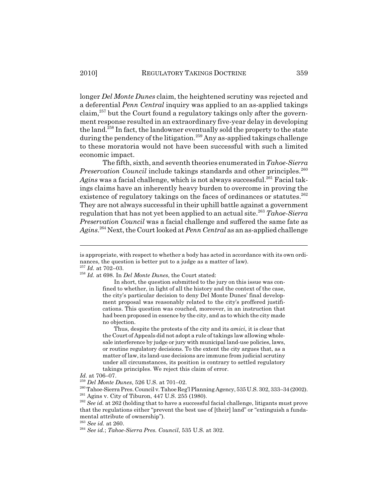longer *Del Monte Dunes* claim, the heightened scrutiny was rejected and a deferential *Penn Central* inquiry was applied to an as-applied takings claim, $^{257}$  but the Court found a regulatory takings only after the government response resulted in an extraordinary five-year delay in developing the land.<sup>258</sup> In fact, the landowner eventually sold the property to the state during the pendency of the litigation.<sup>259</sup> Any as-applied takings challenge to these moratoria would not have been successful with such a limited economic impact.

The fifth, sixth, and seventh theories enumerated in *Tahoe-Sierra Preservation Council* include takings standards and other principles.<sup>260</sup> *Agins* was a facial challenge, which is not always successful.<sup>261</sup> Facial takings claims have an inherently heavy burden to overcome in proving the existence of regulatory takings on the faces of ordinances or statutes.<sup>262</sup> They are not always successful in their uphill battle against a government regulation that has not yet been applied to an actual site.263 *Tahoe-Sierra Preservation Council* was a facial challenge and suffered the same fate as *Agins*. 264 Next, the Court looked at *Penn Central* as an as-applied challenge

Thus, despite the protests of the city and its *amici*, it is clear that the Court of Appeals did not adopt a rule of takings law allowing wholesale interference by judge or jury with municipal land-use policies, laws, or routine regulatory decisions. To the extent the city argues that, as a matter of law, its land-use decisions are immune from judicial scrutiny under all circumstances, its position is contrary to settled regulatory takings principles. We reject this claim of error.

<sup>263</sup> *See id.* at 260.

is appropriate, with respect to whether a body has acted in accordance with its own ordinances, the question is better put to a judge as a matter of law). <sup>257</sup> *Id.* at 702–03.

<sup>258</sup> *Id.* at 698. In *Del Monte Dunes*, the Court stated:

In short, the question submitted to the jury on this issue was confined to whether, in light of all the history and the context of the case, the city's particular decision to deny Del Monte Dunes' final development proposal was reasonably related to the city's proffered justifications. This question was couched, moreover, in an instruction that had been proposed in essence by the city, and as to which the city made no objection.

*Id.* at 706–07.

<sup>259</sup> *Del Monte Dunes*, 526 U.S. at 701–02.

<sup>260</sup> Tahoe-Sierra Pres. Council v. Tahoe Reg'l Planning Agency, 535 U.S. 302, 333–34 (2002). 261 Agins v. City of Tiburon, 447 U.S. 255 (1980).

<sup>&</sup>lt;sup>262</sup> See id. at 262 (holding that to have a successful facial challenge, litigants must prove that the regulations either "prevent the best use of [their] land" or "extinguish a fundamental attribute of ownership").

<sup>264</sup> *See id.*; *Tahoe-Sierra Pres. Council*, 535 U.S. at 302.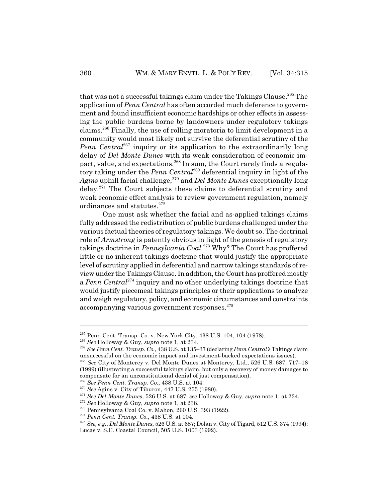that was not a successful takings claim under the Takings Clause.<sup>265</sup> The application of *Penn Central* has often accorded much deference to government and found insufficient economic hardships or other effects in assessing the public burdens borne by landowners under regulatory takings claims.266 Finally, the use of rolling moratoria to limit development in a community would most likely not survive the deferential scrutiny of the *Penn Central*<sup>267</sup> inquiry or its application to the extraordinarily long delay of *Del Monte Dunes* with its weak consideration of economic impact, value, and expectations.<sup>268</sup> In sum, the Court rarely finds a regulatory taking under the *Penn Central*269 deferential inquiry in light of the Agins uphill facial challenge,<sup>270</sup> and *Del Monte Dunes* exceptionally long delay.271 The Court subjects these claims to deferential scrutiny and weak economic effect analysis to review government regulation, namely ordinances and statutes.<sup>272</sup>

One must ask whether the facial and as-applied takings claims fully addressed the redistribution of public burdens challenged under the various factual theories of regulatory takings. We doubt so. The doctrinal role of *Armstrong* is patently obvious in light of the genesis of regulatory takings doctrine in *Pennsylvania Coal*. 273 Why? The Court has proffered little or no inherent takings doctrine that would justify the appropriate level of scrutiny applied in deferential and narrow takings standards of review under the Takings Clause. In addition, the Court has proffered mostly a *Penn Central*274 inquiry and no other underlying takings doctrine that would justify piecemeal takings principles or their applications to analyze and weigh regulatory, policy, and economic circumstances and constraints accompanying various government responses.<sup>275</sup>

<sup>265</sup> Penn Cent. Transp. Co. v. New York City, 438 U.S. 104, 104 (1978).

<sup>266</sup> *See* Holloway & Guy, *supra* note 1, at 234.

<sup>267</sup> *See Penn Cent. Transp. Co.*, 438 U.S. at 135–37 (declaring *Penn Central's* Takings claim unsuccessful on the economic impact and investment-backed expectations issues).

<sup>268</sup> *See* City of Monterey v. Del Monte Dunes at Monterey, Ltd., 526 U.S. 687, 717–18 (1999) (illustrating a successful takings claim, but only a recovery of money damages to compensate for an unconstitutional denial of just compensation).

<sup>269</sup> *See Penn Cent. Transp. Co.*, 438 U.S. at 104.

<sup>270</sup> *See* Agins v. City of Tiburon, 447 U.S. 255 (1980).

<sup>271</sup> *See Del Monte Dunes*, 526 U.S. at 687; *see* Holloway & Guy, *supra* note 1, at 234.

<sup>272</sup> *See* Holloway & Guy, *supra* note 1, at 238.

<sup>273</sup> Pennsylvania Coal Co. v. Mahon, 260 U.S. 393 (1922).

<sup>274</sup> *Penn Cent. Transp. Co.*, 438 U.S. at 104.

<sup>275</sup> *See, e.g.*, *Del Monte Dunes*, 526 U.S. at 687; Dolan v. City of Tigard, 512 U.S. 374 (1994); Lucas v. S.C. Coastal Council, 505 U.S. 1003 (1992).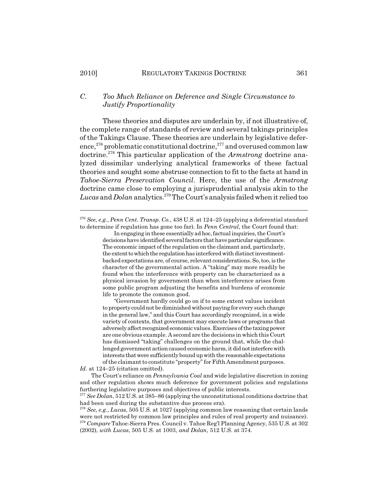#### *C. Too Much Reliance on Deference and Single Circumstance to Justify Proportionality*

These theories and disputes are underlain by, if not illustrative of, the complete range of standards of review and several takings principles of the Takings Clause. These theories are underlain by legislative deference,<sup>276</sup> problematic constitutional doctrine,<sup>277</sup> and overused common law doctrine.278 This particular application of the *Armstrong* doctrine analyzed dissimilar underlying analytical frameworks of these factual theories and sought some abstruse connection to fit to the facts at hand in *Tahoe-Sierra Preservation Council*. Here, the use of the *Armstrong* doctrine came close to employing a jurisprudential analysis akin to the *Lucas* and *Dolan* analytics.279 The Court's analysis failed when it relied too

<sup>276</sup> *See, e.g.*, *Penn Cent. Transp. Co.*, 438 U.S. at 124–25 (applying a deferential standard to determine if regulation has gone too far). In *Penn Central*, the Court found that:

In engaging in these essentially ad hoc, factual inquiries, the Court's decisions have identified several factors that have particular significance. The economic impact of the regulation on the claimant and, particularly, the extent to which the regulation has interfered with distinct investmentbacked expectations are, of course, relevant considerations. So, too, is the character of the governmental action. A "taking" may more readily be found when the interference with property can be characterized as a physical invasion by government than when interference arises from some public program adjusting the benefits and burdens of economic life to promote the common good.

"Government hardly could go on if to some extent values incident to property could not be diminished without paying for every such change in the general law," and this Court has accordingly recognized, in a wide variety of contexts, that government may execute laws or programs that adversely affect recognized economic values. Exercises of the taxing power are one obvious example. A second are the decisions in which this Court has dismissed "taking" challenges on the ground that, while the challenged government action caused economic harm, it did not interfere with interests that were sufficiently bound up with the reasonable expectations of the claimant to constitute "property" for Fifth Amendment purposes.

*Id.* at 124–25 (citation omitted).

The Court's reliance on *Pennsylvania Coal* and wide legislative discretion in zoning and other regulation shows much deference for government policies and regulations furthering legislative purposes and objectives of public interests.

<sup>277</sup> *See Dolan*, 512 U.S. at 385–86 (applying the unconstitutional conditions doctrine that had been used during the substantive due process era).

<sup>278</sup> *See, e.g.*, *Lucas*, 505 U.S. at 1027 (applying common law reasoning that certain lands were not restricted by common law principles and rules of real property and nuisance). <sup>279</sup> *Compare* Tahoe-Sierra Pres. Council v. Tahoe Reg'l Planning Agency, 535 U.S. at 302 (2002), *with Lucas*, 505 U.S. at 1003, *and Dolan*, 512 U.S. at 374.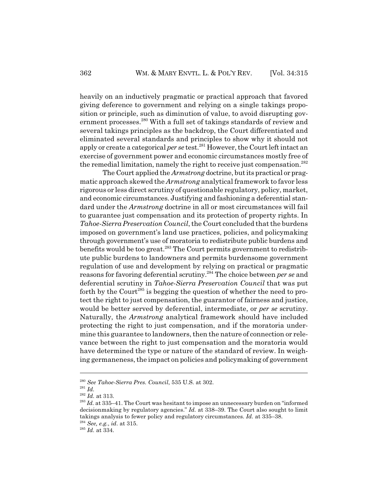heavily on an inductively pragmatic or practical approach that favored giving deference to government and relying on a single takings proposition or principle, such as diminution of value, to avoid disrupting government processes.<sup>280</sup> With a full set of takings standards of review and several takings principles as the backdrop, the Court differentiated and eliminated several standards and principles to show why it should not apply or create a categorical *per se* test.<sup>281</sup> However, the Court left intact an exercise of government power and economic circumstances mostly free of the remedial limitation, namely the right to receive just compensation.<sup>282</sup>

The Court applied the *Armstrong* doctrine, but its practical or pragmatic approach skewed the *Armstrong* analytical framework to favor less rigorous or less direct scrutiny of questionable regulatory, policy, market, and economic circumstances. Justifying and fashioning a deferential standard under the *Armstrong* doctrine in all or most circumstances will fail to guarantee just compensation and its protection of property rights. In *Tahoe-Sierra Preservation Council*, the Court concluded that the burdens imposed on government's land use practices, policies, and policymaking through government's use of moratoria to redistribute public burdens and benefits would be too great.<sup>283</sup> The Court permits government to redistribute public burdens to landowners and permits burdensome government regulation of use and development by relying on practical or pragmatic reasons for favoring deferential scrutiny.284 The choice between *per se* and deferential scrutiny in *Tahoe-Sierra Preservation Council* that was put forth by the Court<sup>285</sup> is begging the question of whether the need to protect the right to just compensation, the guarantor of fairness and justice, would be better served by deferential, intermediate, or *per se* scrutiny. Naturally, the *Armstrong* analytical framework should have included protecting the right to just compensation, and if the moratoria undermine this guarantee to landowners, then the nature of connection or relevance between the right to just compensation and the moratoria would have determined the type or nature of the standard of review. In weighing germaneness, the impact on policies and policymaking of government

<sup>280</sup> *See Tahoe-Sierra Pres. Council*, 535 U.S. at 302.

<sup>281</sup> *Id.*

<sup>282</sup> *Id.* at 313.

<sup>&</sup>lt;sup>283</sup> Id. at 335–41. The Court was hesitant to impose an unnecessary burden on "informed decisionmaking by regulatory agencies." *Id.* at 338–39. The Court also sought to limit takings analysis to fewer policy and regulatory circumstances. *Id.* at 335–38. <sup>284</sup> *See, e.g.*, *id*. at 315.

<sup>285</sup> *Id.* at 334.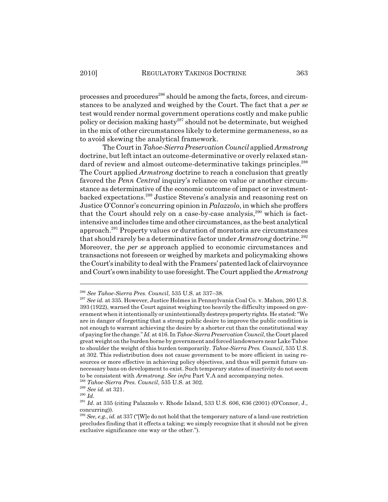processes and procedures<sup>286</sup> should be among the facts, forces, and circumstances to be analyzed and weighed by the Court. The fact that a *per se* test would render normal government operations costly and make public policy or decision making hasty<sup>287</sup> should not be determinate, but weighed in the mix of other circumstances likely to determine germaneness, so as to avoid skewing the analytical framework.

The Court in *Tahoe-Sierra Preservation Council* applied *Armstrong* doctrine, but left intact an outcome-determinative or overly relaxed standard of review and almost outcome-determinative takings principles.<sup>288</sup> The Court applied *Armstrong* doctrine to reach a conclusion that greatly favored the *Penn Central* inquiry's reliance on value or another circumstance as determinative of the economic outcome of impact or investmentbacked expectations.289 Justice Stevens's analysis and reasoning rest on Justice O'Connor's concurring opinion in *Palazzolo*, in which she proffers that the Court should rely on a case-by-case analysis.<sup>290</sup> which is factintensive and includes time and other circumstances, as the best analytical approach.291 Property values or duration of moratoria are circumstances that should rarely be a determinative factor under *Armstrong* doctrine.<sup>292</sup> Moreover, the *per se* approach applied to economic circumstances and transactions not foreseen or weighed by markets and policymaking shows the Court's inability to deal with the Framers' patented lack of clairvoyance and Court's own inability to use foresight. The Court applied the *Armstrong*

<sup>286</sup> *See Tahoe-Sierra Pres. Council*, 535 U.S. at 337–38.

<sup>287</sup> *See id.* at 335. However, Justice Holmes in Pennsylvania Coal Co. v. Mahon, 260 U.S. 393 (1922), warned the Court against weighing too heavily the difficulty imposed on government when it intentionally or unintentionally destroys property rights. He stated: "We are in danger of forgetting that a strong public desire to improve the public condition is not enough to warrant achieving the desire by a shorter cut than the constitutional way of paying for the change." *Id.* at 416. In *Tahoe-Sierra Preservation Council*, the Court placed great weight on the burden borne by government and forced landowners near Lake Tahoe to shoulder the weight of this burden temporarily. *Tahoe-Sierra Pres. Council*, 535 U.S. at 302. This redistribution does not cause government to be more efficient in using resources or more effective in achieving policy objectives, and thus will permit future unnecessary bans on development to exist. Such temporary states of inactivity do not seem to be consistent with *Armstrong*. *See infra* Part V.A and accompanying notes.

<sup>288</sup> *Tahoe-Sierra Pres. Council*, 535 U.S. at 302.

<sup>289</sup> *See id.* at 321.

<sup>290</sup> *Id.*

<sup>&</sup>lt;sup>291</sup> *Id.* at 335 (citing Palazzolo v. Rhode Island, 533 U.S. 606, 636 (2001) (O'Connor, J., concurring)).

<sup>292</sup> *See, e.g.*, *id.* at 337 ("[W]e do not hold that the temporary nature of a land-use restriction precludes finding that it effects a taking; we simply recognize that it should not be given exclusive significance one way or the other.").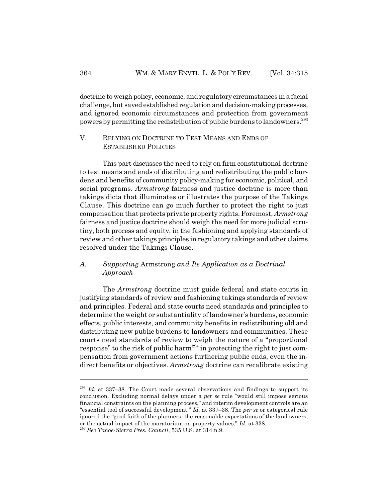doctrine to weigh policy, economic, and regulatory circumstances in a facial challenge, but saved established regulation and decision-making processes, and ignored economic circumstances and protection from government powers by permitting the redistribution of public burdens to landowners.<sup>293</sup>

#### V. RELYING ON DOCTRINE TO TEST MEANS AND ENDS OF ESTABLISHED POLICIES

This part discusses the need to rely on firm constitutional doctrine to test means and ends of distributing and redistributing the public burdens and benefits of community policy-making for economic, political, and social programs. *Armstrong* fairness and justice doctrine is more than takings dicta that illuminates or illustrates the purpose of the Takings Clause. This doctrine can go much further to protect the right to just compensation that protects private property rights. Foremost, *Armstrong* fairness and justice doctrine should weigh the need for more judicial scrutiny, both process and equity, in the fashioning and applying standards of review and other takings principles in regulatory takings and other claims resolved under the Takings Clause.

#### *A. Supporting* Armstrong *and Its Application as a Doctrinal Approach*

The *Armstrong* doctrine must guide federal and state courts in justifying standards of review and fashioning takings standards of review and principles. Federal and state courts need standards and principles to determine the weight or substantiality of landowner's burdens, economic effects, public interests, and community benefits in redistributing old and distributing new public burdens to landowners and communities. These courts need standards of review to weigh the nature of a "proportional response" to the risk of public harm<sup>294</sup> in protecting the right to just compensation from government actions furthering public ends, even the indirect benefits or objectives. *Armstrong* doctrine can recalibrate existing

<sup>293</sup> *Id*. at 337–38. The Court made several observations and findings to support its conclusion. Excluding normal delays under a *per se* rule "would still impose serious financial constraints on the planning process," and interim development controls are an "essential tool of successful development." *Id.* at 337–38. The *per se* or categorical rule ignored the "good faith of the planners, the reasonable expectations of the landowners, or the actual impact of the moratorium on property values." *Id.* at 338.

<sup>294</sup> *See Tahoe-Sierra Pres. Council*, 535 U.S. at 314 n.9.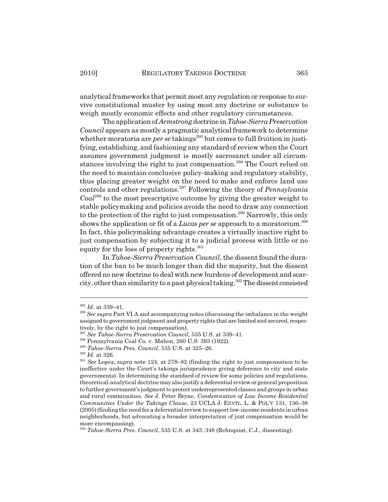analytical frameworks that permit most any regulation or response to survive constitutional muster by using most any doctrine or substance to weigh mostly economic effects and other regulatory circumstances.

The application of *Armstrong* doctrine in *Tahoe-Sierra Preservation Council* appears as mostly a pragmatic analytical framework to determine whether moratoria are *per se* takings<sup>295</sup> but comes to full fruition in justifying, establishing, and fashioning any standard of review when the Court assumes government judgment is mostly sacrosanct under all circumstances involving the right to just compensation.<sup>296</sup> The Court relied on the need to maintain conclusive policy-making and regulatory stability, thus placing greater weight on the need to make and enforce land use controls and other regulations.297 Following the theory of *Pennsylvania Coal*298 to the most prescriptive outcome by giving the greater weight to stable policymaking and policies avoids the need to draw any connection to the protection of the right to just compensation.<sup>299</sup> Narrowly, this only shows the application or fit of a *Lucas per se* approach to a moratorium.<sup>300</sup> In fact, this policymaking advantage creates a virtually inactive right to just compensation by subjecting it to a judicial process with little or no equity for the loss of property rights. $301$ 

In *Tahoe-Sierra Preservation Council*, the dissent found the duration of the ban to be much longer than did the majority, but the dissent offered no new doctrine to deal with new burdens of development and scarcity, other than similarity to a past physical taking.<sup>302</sup> The dissent consisted

<sup>295</sup> *Id*. at 339–41.

<sup>296</sup> *See supra* Part VI.A and accompanying notes (discussing the imbalance in the weight assigned to government judgment and property rights that are limited and secured, respectively, by the right to just compensation).

<sup>297</sup> *See Tahoe-Sierra Preservation Council*, 535 U.S. at 339–41.

<sup>298</sup> Pennsylvania Coal Co. v. Mahon, 260 U.S. 393 (1922).

<sup>299</sup> *Tahoe-Sierra Pres. Council*, 535 U.S. at 325–26.

 $^{\rm 300}$   $Id.$  at 326.

<sup>301</sup> *See* Lopez, *supra* note 124, at 278–82 (finding the right to just compensation to be ineffective under the Court's takings jurisprudence giving deference to city and state governments). In determining the standard of review for some policies and regulations, theoretical-analytical doctrine may also justify a deferential review or general proposition to further government's judgment to protect underrepresented classes and groups in urban and rural communities. *See* J. Peter Bryne, *Condemnation of Low Income Residential Communities Under the Takings Clause*, 23 UCLA J. ENVTL. L. & POL'Y 131, 136–38 (2005) (finding the need for a deferential review to support low-income residents in urban neighborhoods, but advocating a broader interpretation of just compensation would be more encompassing).

<sup>302</sup> *Tahoe-Sierra Pres. Council*, 535 U.S. at 343, 348 (Rehnquist, C.J., dissenting).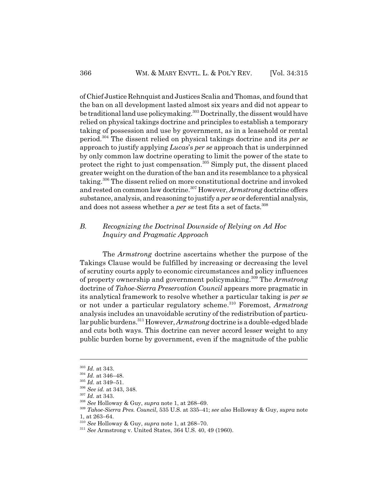of Chief Justice Rehnquist and Justices Scalia and Thomas, and found that the ban on all development lasted almost six years and did not appear to be traditional land use policymaking.<sup>303</sup> Doctrinally, the dissent would have relied on physical takings doctrine and principles to establish a temporary taking of possession and use by government, as in a leasehold or rental period.304 The dissent relied on physical takings doctrine and its *per se* approach to justify applying *Lucas*'s *per se* approach that is underpinned by only common law doctrine operating to limit the power of the state to protect the right to just compensation.<sup>305</sup> Simply put, the dissent placed greater weight on the duration of the ban and its resemblance to a physical taking.306 The dissent relied on more constitutional doctrine and invoked and rested on common law doctrine.<sup>307</sup> However, *Armstrong* doctrine offers substance, analysis, and reasoning to justify a *per se* or deferential analysis, and does not assess whether a *per se* test fits a set of facts.<sup>308</sup>

## *B. Recognizing the Doctrinal Downside of Relying on Ad Hoc Inquiry and Pragmatic Approach*

The *Armstrong* doctrine ascertains whether the purpose of the Takings Clause would be fulfilled by increasing or decreasing the level of scrutiny courts apply to economic circumstances and policy influences of property ownership and government policymaking.309 The *Armstrong* doctrine of *Tahoe-Sierra Preservation Council* appears more pragmatic in its analytical framework to resolve whether a particular taking is *per se* or not under a particular regulatory scheme.<sup>310</sup> Foremost, *Armstrong* analysis includes an unavoidable scrutiny of the redistribution of particular public burdens.311 However, *Armstrong* doctrine is a double-edged blade and cuts both ways. This doctrine can never accord lesser weight to any public burden borne by government, even if the magnitude of the public

<sup>303</sup> *Id.* at 343.

<sup>304</sup> *Id.* at 346–48.

<sup>305</sup> *Id.* at 349–51.

<sup>306</sup> *See id.* at 343, 348.

<sup>307</sup> *Id.* at 343.

<sup>308</sup> *See* Holloway & Guy, *supra* note 1, at 268–69.

<sup>309</sup> *Tahoe-Sierra Pres. Council*, 535 U.S. at 335–41; *see also* Holloway & Guy, *supra* note 1, at 263–64.

<sup>310</sup> *See* Holloway & Guy, *supra* note 1, at 268–70.

<sup>311</sup> *See* Armstrong v. United States, 364 U.S. 40, 49 (1960).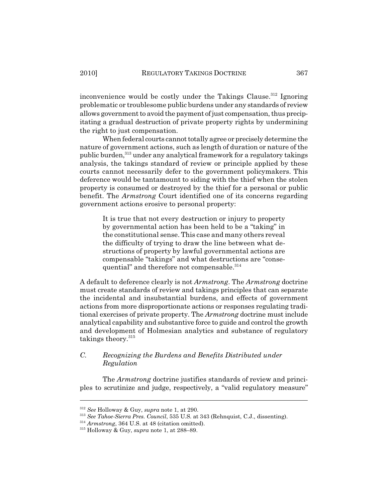inconvenience would be costly under the Takings Clause.<sup>312</sup> Ignoring problematic or troublesome public burdens under any standards of review allows government to avoid the payment of just compensation, thus precipitating a gradual destruction of private property rights by undermining the right to just compensation.

When federal courts cannot totally agree or precisely determine the nature of government actions, such as length of duration or nature of the public burden,<sup>313</sup> under any analytical framework for a regulatory takings analysis, the takings standard of review or principle applied by these courts cannot necessarily defer to the government policymakers. This deference would be tantamount to siding with the thief when the stolen property is consumed or destroyed by the thief for a personal or public benefit. The *Armstrong* Court identified one of its concerns regarding government actions erosive to personal property:

It is true that not every destruction or injury to property by governmental action has been held to be a "taking" in the constitutional sense. This case and many others reveal the difficulty of trying to draw the line between what destructions of property by lawful governmental actions are compensable "takings" and what destructions are "consequential" and therefore not compensable.<sup>314</sup>

A default to deference clearly is not *Armstrong*. The *Armstrong* doctrine must create standards of review and takings principles that can separate the incidental and insubstantial burdens, and effects of government actions from more disproportionate actions or responses regulating traditional exercises of private property. The *Armstrong* doctrine must include analytical capability and substantive force to guide and control the growth and development of Holmesian analytics and substance of regulatory takings theory.<sup>315</sup>

#### *C. Recognizing the Burdens and Benefits Distributed under Regulation*

The *Armstrong* doctrine justifies standards of review and principles to scrutinize and judge, respectively, a "valid regulatory measure"

<sup>312</sup> *See* Holloway & Guy, *supra* note 1, at 290.

<sup>313</sup> *See Tahoe-Sierra Pres. Council*, 535 U.S. at 343 (Rehnquist, C.J., dissenting).

<sup>314</sup> *Armstrong*, 364 U.S. at 48 (citation omitted).

<sup>315</sup> Holloway & Guy, *supra* note 1, at 288–89.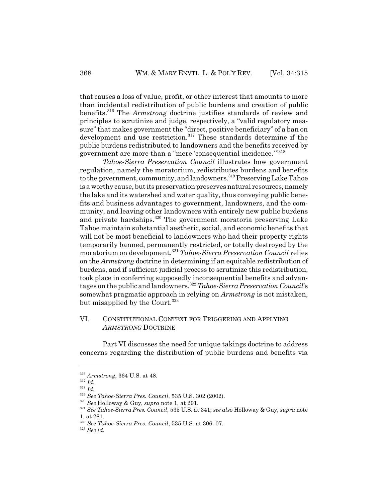that causes a loss of value, profit, or other interest that amounts to more than incidental redistribution of public burdens and creation of public benefits.316 The *Armstrong* doctrine justifies standards of review and principles to scrutinize and judge, respectively, a "valid regulatory measure" that makes government the "direct, positive beneficiary" of a ban on development and use restriction.<sup>317</sup> These standards determine if the public burdens redistributed to landowners and the benefits received by government are more than a "mere 'consequential incidence.'"318

*Tahoe-Sierra Preservation Council* illustrates how government regulation, namely the moratorium, redistributes burdens and benefits to the government, community, and landowners.<sup>319</sup> Preserving Lake Tahoe is a worthy cause, but its preservation preserves natural resources, namely the lake and its watershed and water quality, thus conveying public benefits and business advantages to government, landowners, and the community, and leaving other landowners with entirely new public burdens and private hardships.<sup>320</sup> The government moratoria preserving Lake Tahoe maintain substantial aesthetic, social, and economic benefits that will not be most beneficial to landowners who had their property rights temporarily banned, permanently restricted, or totally destroyed by the moratorium on development.321 *Tahoe-Sierra Preservation Council* relies on the *Armstrong* doctrine in determining if an equitable redistribution of burdens, and if sufficient judicial process to scrutinize this redistribution, took place in conferring supposedly inconsequential benefits and advantages on the public and landowners.322*Tahoe-Sierra Preservation Council*'s somewhat pragmatic approach in relying on *Armstrong* is not mistaken, but misapplied by the Court.<sup>323</sup>

#### VI. CONSTITUTIONAL CONTEXT FOR TRIGGERING AND APPLYING *ARMSTRONG* DOCTRINE

Part VI discusses the need for unique takings doctrine to address concerns regarding the distribution of public burdens and benefits via

<sup>316</sup> *Armstrong*, 364 U.S. at 48.

<sup>317</sup> *Id.*

<sup>318</sup> *Id.*

<sup>319</sup> *See Tahoe-Sierra Pres. Council*, 535 U.S. 302 (2002).

<sup>320</sup> *See* Holloway & Guy, *supra* note 1, at 291.

<sup>321</sup> *See Tahoe-Sierra Pres. Council*, 535 U.S. at 341; *see also* Holloway & Guy, *supra* note 1, at 281.

<sup>322</sup> *See Tahoe-Sierra Pres. Council*, 535 U.S. at 306–07.

<sup>323</sup> *See id.*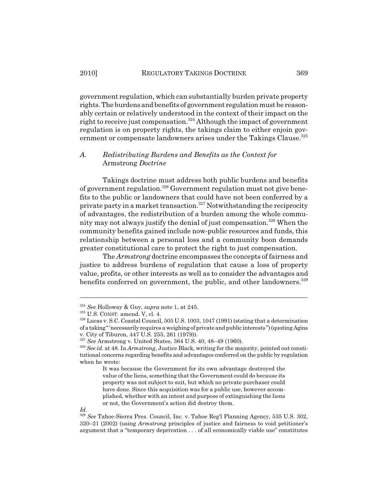government regulation, which can substantially burden private property rights. The burdens and benefits of government regulation must be reasonably certain or relatively understood in the context of their impact on the right to receive just compensation.324 Although the impact of government regulation is on property rights, the takings claim to either enjoin government or compensate landowners arises under the Takings Clause.<sup>325</sup>

#### *A. Redistributing Burdens and Benefits as the Context for* Armstrong *Doctrine*

Takings doctrine must address both public burdens and benefits of government regulation.<sup>326</sup> Government regulation must not give benefits to the public or landowners that could have not been conferred by a private party in a market transaction.327 Notwithstanding the reciprocity of advantages, the redistribution of a burden among the whole community may not always justify the denial of just compensation.328 When the community benefits gained include now-public resources and funds, this relationship between a personal loss and a community boon demands greater constitutional care to protect the right to just compensation.

The *Armstrong* doctrine encompasses the concepts of fairness and justice to address burdens of regulation that cause a loss of property value, profits, or other interests as well as to consider the advantages and benefits conferred on government, the public, and other landowners.<sup>329</sup>

It was because the Government for its own advantage destroyed the value of the liens, something that the Government could do because its property was not subject to suit, but which no private purchaser could have done. Since this acquisition was for a public use, however accomplished, whether with an intent and purpose of extinguishing the liens or not, the Government's action did destroy them.

*Id.*

<sup>324</sup> *See* Holloway & Guy, *supra* note 1, at 245.

<sup>325</sup> U.S. CONST. amend. V, cl. 4.

<sup>326</sup> Lucas v. S.C. Coastal Council, 505 U.S. 1003, 1047 (1991) (stating that a determination of a taking " 'necessarily requires a weighing of private and public interests ") (quoting Agins v. City of Tiburon, 447 U.S. 255, 261 (1979)).

<sup>327</sup> *See* Armstrong v. United States, 364 U.S. 40, 48–49 (1960).

<sup>328</sup> *See id.* at 48. In *Armstrong*, Justice Black, writing for the majority, pointed out constitutional concerns regarding benefits and advantages conferred on the public by regulation when he wrote:

<sup>329</sup> *See* Tahoe-Sierra Pres. Council, Inc. v. Tahoe Reg'l Planning Agency, 535 U.S. 302, 320–21 (2002) (using *Armstrong* principles of justice and fairness to void petitioner's argument that a "temporary deprivation . . . of all economically viable use" constitutes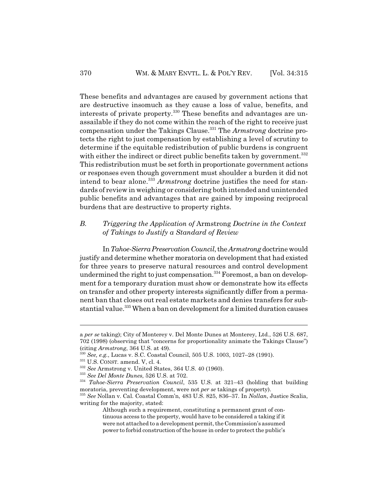These benefits and advantages are caused by government actions that are destructive insomuch as they cause a loss of value, benefits, and interests of private property.<sup>330</sup> These benefits and advantages are unassailable if they do not come within the reach of the right to receive just compensation under the Takings Clause.331 The *Armstrong* doctrine protects the right to just compensation by establishing a level of scrutiny to determine if the equitable redistribution of public burdens is congruent with either the indirect or direct public benefits taken by government.<sup>332</sup> This redistribution must be set forth in proportionate government actions or responses even though government must shoulder a burden it did not intend to bear alone.333 *Armstrong* doctrine justifies the need for standards of review in weighing or considering both intended and unintended public benefits and advantages that are gained by imposing reciprocal burdens that are destructive to property rights.

#### *B. Triggering the Application of* Armstrong *Doctrine in the Context of Takings to Justify a Standard of Review*

In *Tahoe-Sierra Preservation Council*, the *Armstrong* doctrine would justify and determine whether moratoria on development that had existed for three years to preserve natural resources and control development undermined the right to just compensation.<sup>334</sup> Foremost, a ban on development for a temporary duration must show or demonstrate how its effects on transfer and other property interests significantly differ from a permanent ban that closes out real estate markets and denies transfers for substantial value.<sup>335</sup> When a ban on development for a limited duration causes

a *per se* taking); City of Monterey v. Del Monte Dunes at Monterey, Ltd., 526 U.S. 687, 702 (1998) (observing that "concerns for proportionality animate the Takings Clause") (citing *Armstrong*, 364 U.S. at 49).

<sup>330</sup> *See, e.g.*, Lucas v. S.C. Coastal Council, 505 U.S. 1003, 1027–28 (1991).

<sup>331</sup> U.S. CONST. amend. V, cl. 4.

<sup>332</sup> *See* Armstrong v. United States, 364 U.S. 40 (1960).

<sup>333</sup> *See Del Monte Dunes*, 526 U.S. at 702.

<sup>334</sup> *Tahoe-Sierra Preservation Council*, 535 U.S. at 321–43 (holding that building moratoria, preventing development, were not *per se* takings of property).

<sup>335</sup> *See* Nollan v. Cal. Coastal Comm'n, 483 U.S. 825, 836–37. In *Nollan*, Justice Scalia, writing for the majority, stated:

Although such a requirement, constituting a permanent grant of continuous access to the property, would have to be considered a taking if it were not attached to a development permit, the Commission's assumed power to forbid construction of the house in order to protect the public's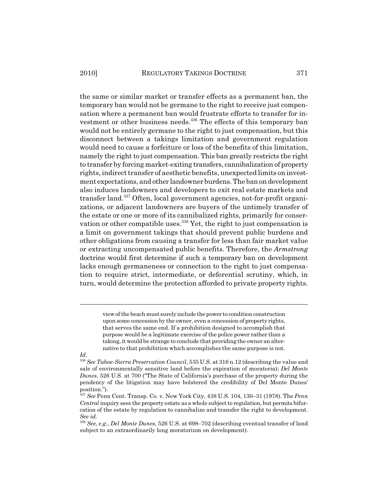the same or similar market or transfer effects as a permanent ban, the temporary ban would not be germane to the right to receive just compensation where a permanent ban would frustrate efforts to transfer for investment or other business needs.<sup>336</sup> The effects of this temporary ban would not be entirely germane to the right to just compensation, but this disconnect between a takings limitation and government regulation would need to cause a forfeiture or loss of the benefits of this limitation, namely the right to just compensation. This ban greatly restricts the right to transfer by forcing market-exiting transfers, cannibalization of property rights, indirect transfer of aesthetic benefits, unexpected limits on investment expectations, and other landowner burdens. The ban on development also induces landowners and developers to exit real estate markets and transfer land.337 Often, local government agencies, not-for-profit organizations, or adjacent landowners are buyers of the untimely transfer of the estate or one or more of its cannibalized rights, primarily for conservation or other compatible uses.<sup>338</sup> Yet, the right to just compensation is a limit on government takings that should prevent public burdens and other obligations from causing a transfer for less than fair market value or extracting uncompensated public benefits. Therefore, the *Armstrong* doctrine would first determine if such a temporary ban on development lacks enough germaneness or connection to the right to just compensation to require strict, intermediate, or deferential scrutiny, which, in turn, would determine the protection afforded to private property rights.

> view of the beach must surely include the power to condition construction upon some concession by the owner, even a concession of property rights, that serves the same end. If a prohibition designed to accomplish that purpose would be a legitimate exercise of the police power rather than a taking, it would be strange to conclude that providing the owner an alternative to that prohibition which accomplishes the same purpose is not.

*Id.*

<sup>336</sup> *See Tahoe-Sierra Preservation Council*, 535 U.S. at 316 n.12 (describing the value and sale of environmentally sensitive land before the expiration of moratoria); *Del Monte Dunes*, 526 U.S. at 700 ("The State of California's purchase of the property during the pendency of the litigation may have bolstered the credibility of Del Monte Dunes' position.").

<sup>337</sup> *See* Penn Cent. Transp. Co. v. New York City, 438 U.S. 104, 130–31 (1978). The *Penn Central* inquiry sees the property estate as a whole subject to regulation, but permits bifurcation of the estate by regulation to cannibalize and transfer the right to development. *See id.*

<sup>338</sup> *See, e.g.*, *Del Monte Dunes*, 526 U.S. at 698–702 (describing eventual transfer of land subject to an extraordinarily long moratorium on development).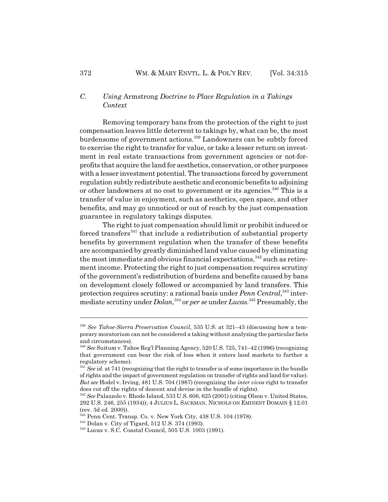#### *C. Using* Armstrong *Doctrine to Place Regulation in a Takings Context*

Removing temporary bans from the protection of the right to just compensation leaves little deterrent to takings by, what can be, the most burdensome of government actions.<sup>339</sup> Landowners can be subtly forced to exercise the right to transfer for value, or take a lesser return on investment in real estate transactions from government agencies or not-forprofits that acquire the land for aesthetics, conservation, or other purposes with a lesser investment potential. The transactions forced by government regulation subtly redistribute aesthetic and economic benefits to adjoining or other landowners at no cost to government or its agencies.<sup>340</sup> This is a transfer of value in enjoyment, such as aesthetics, open space, and other benefits, and may go unnoticed or out of reach by the just compensation guarantee in regulatory takings disputes.

The right to just compensation should limit or prohibit induced or forced transfers<sup>341</sup> that include a redistribution of substantial property benefits by government regulation when the transfer of these benefits are accompanied by greatly diminished land value caused by eliminating the most immediate and obvious financial expectations,  $342$  such as retirement income. Protecting the right to just compensation requires scrutiny of the government's redistribution of burdens and benefits caused by bans on development closely followed or accompanied by land transfers. This protection requires scrutiny: a rational basis under *Penn Central*, 343 intermediate scrutiny under *Dolan*, 344 or *per se* under *Lucas*. 345 Presumably, the

<sup>339</sup> *See Tahoe-Sierra Preservation Council*, 535 U.S. at 321–43 (discussing how a temporary moratorium can not be considered a taking without analyzing the particular facts and circumstances).

<sup>340</sup> *See* Suitum v. Tahoe Reg'l Planning Agency, 520 U.S. 725, 741–42 (1996) (recognizing that government can bear the risk of loss when it enters land markets to further a regulatory scheme).

<sup>&</sup>lt;sup>341</sup> See id. at 741 (recognizing that the right to transfer is of some importance in the bundle of rights and the impact of government regulation on transfer of rights and land for value). *But see* Hodel v. Irving, 481 U.S. 704 (1987) (recognizing the *inter vivos* right to transfer does cut off the rights of descent and devise in the bundle of rights).

<sup>342</sup> *See* Palazzolo v. Rhode Island, 533 U.S. 606, 625 (2001) (citing Olson v. United States, 292 U.S. 246, 255 (1934)); 4 JULIUS L. SACKMAN, NICHOLS ON EMINENT DOMAIN § 12.01 (rev. 3d ed. 2000)).

<sup>343</sup> Penn Cent. Transp. Co. v. New York City, 438 U.S. 104 (1978).

<sup>344</sup> Dolan v. City of Tigard, 512 U.S. 374 (1993).

<sup>345</sup> Lucas v. S.C. Coastal Council, 505 U.S. 1003 (1991).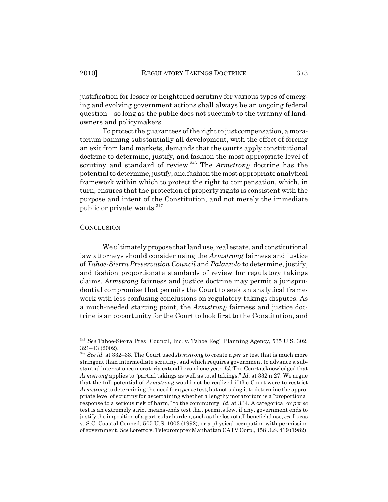justification for lesser or heightened scrutiny for various types of emerging and evolving government actions shall always be an ongoing federal question—so long as the public does not succumb to the tyranny of landowners and policymakers.

To protect the guarantees of the right to just compensation, a moratorium banning substantially all development, with the effect of forcing an exit from land markets, demands that the courts apply constitutional doctrine to determine, justify, and fashion the most appropriate level of scrutiny and standard of review.<sup>346</sup> The *Armstrong* doctrine has the potential to determine, justify, and fashion the most appropriate analytical framework within which to protect the right to compensation, which, in turn, ensures that the protection of property rights is consistent with the purpose and intent of the Constitution, and not merely the immediate public or private wants.<sup>347</sup>

#### **CONCLUSION**

We ultimately propose that land use, real estate, and constitutional law attorneys should consider using the *Armstrong* fairness and justice of *Tahoe-Sierra Preservation Council* and *Palazzolo* to determine, justify, and fashion proportionate standards of review for regulatory takings claims. *Armstrong* fairness and justice doctrine may permit a jurisprudential compromise that permits the Court to seek an analytical framework with less confusing conclusions on regulatory takings disputes. As a much-needed starting point, the *Armstrong* fairness and justice doctrine is an opportunity for the Court to look first to the Constitution, and

<sup>346</sup> *See* Tahoe-Sierra Pres. Council, Inc. v. Tahoe Reg'l Planning Agency, 535 U.S. 302, 321–43 (2002).

<sup>347</sup> *See id.* at 332–33. The Court used *Armstrong* to create a *per se* test that is much more stringent than intermediate scrutiny, and which requires government to advance a substantial interest once moratoria extend beyond one year. *Id.* The Court acknowledged that *Armstrong* applies to "partial takings as well as total takings." *Id.* at 332 n.27. We argue that the full potential of *Armstrong* would not be realized if the Court were to restrict *Armstrong* to determining the need for a *per se* test, but not using it to determine the appropriate level of scrutiny for ascertaining whether a lengthy moratorium is a "proportional response to a serious risk of harm," to the community. *Id.* at 334. A categorical or *per se* test is an extremely strict means-ends test that permits few, if any, government ends to justify the imposition of a particular burden, such as the loss of all beneficial use, *see* Lucas v. S.C. Coastal Council, 505 U.S. 1003 (1992), or a physical occupation with permission of government. *See* Loretto v. Teleprompter Manhattan CATV Corp., 458 U.S. 419 (1982).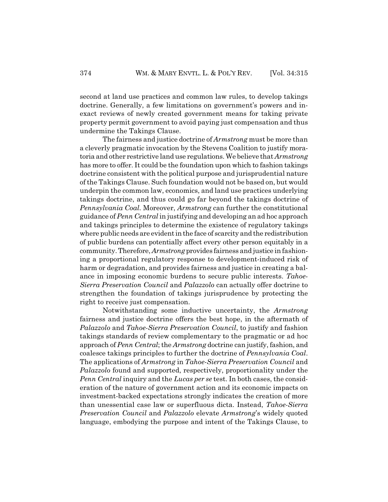second at land use practices and common law rules, to develop takings doctrine. Generally, a few limitations on government's powers and inexact reviews of newly created government means for taking private property permit government to avoid paying just compensation and thus undermine the Takings Clause.

The fairness and justice doctrine of *Armstrong* must be more than a cleverly pragmatic invocation by the Stevens Coalition to justify moratoria and other restrictive land use regulations. We believe that *Armstrong* has more to offer. It could be the foundation upon which to fashion takings doctrine consistent with the political purpose and jurisprudential nature of the Takings Clause. Such foundation would not be based on, but would underpin the common law, economics, and land use practices underlying takings doctrine, and thus could go far beyond the takings doctrine of *Pennsylvania Coal.* Moreover, *Armstrong* can further the constitutional guidance of *Penn Central* in justifying and developing an ad hoc approach and takings principles to determine the existence of regulatory takings where public needs are evident in the face of scarcity and the redistribution of public burdens can potentially affect every other person equitably in a community. Therefore, *Armstrong* provides fairness and justice in fashioning a proportional regulatory response to development-induced risk of harm or degradation, and provides fairness and justice in creating a balance in imposing economic burdens to secure public interests. *Tahoe-Sierra Preservation Council* and *Palazzolo* can actually offer doctrine to strengthen the foundation of takings jurisprudence by protecting the right to receive just compensation.

Notwithstanding some inductive uncertainty, the *Armstrong* fairness and justice doctrine offers the best hope, in the aftermath of *Palazzolo* and *Tahoe-Sierra Preservation Council*, to justify and fashion takings standards of review complementary to the pragmatic or ad hoc approach of *Penn Central*; the *Armstrong* doctrine can justify, fashion, and coalesce takings principles to further the doctrine of *Pennsylvania Coal*. The applications of *Armstrong* in *Tahoe-Sierra Preservation Council* and *Palazzolo* found and supported, respectively, proportionality under the *Penn Central* inquiry and the *Lucas per se* test. In both cases, the consideration of the nature of government action and its economic impacts on investment-backed expectations strongly indicates the creation of more than unessential case law or superfluous dicta. Instead, *Tahoe-Sierra Preservation Council* and *Palazzolo* elevate *Armstrong*'s widely quoted language, embodying the purpose and intent of the Takings Clause, to